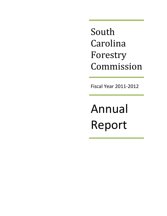South Carolina Forestry Commission

Fiscal Year 2011-2012

Annual Report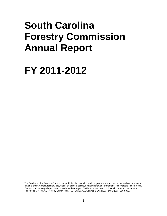# **South Carolina Forestry Commission Annual Report**

# **FY 2011-2012**

The South Carolina Forestry Commission prohibits discrimination in all programs and activities on the basis of race, color, national origin, gender, religion, age, disability, political beliefs, sexual orientation, or marital or family status. The Forestry Commission is an equal opportunity provider and employer. To file a complaint of discrimination, contact the Human Resources Director, SC Forestry Commission, P.O. Box 21707, Columbia, SC 29221, or call (803) 896-8800.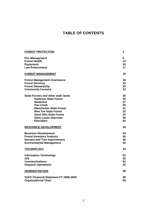# **TABLE OF CONTENTS**

| <b>FOREST PROTECTION</b>                   | 5  |
|--------------------------------------------|----|
| <b>Fire Management</b>                     | 5  |
| <b>Forest Health</b>                       | 14 |
| <b>Equipment</b>                           | 16 |
| <b>Law Enforcement</b>                     | 17 |
|                                            |    |
| <b>FOREST MANAGEMENT</b>                   | 18 |
| <b>Forest Management Assistance</b>        | 18 |
| <b>Forest Services</b>                     | 22 |
| <b>Forest Stewardship</b>                  | 23 |
| <b>Community Forestry</b>                  | 23 |
| <b>State Forests and other state lands</b> | 26 |
| <b>Harbison State Forest</b>               | 26 |
| <b>Niederhof</b>                           | 27 |
| <b>Poe Creek</b>                           | 29 |
| <b>Manchester State Forest</b>             | 31 |
| <b>Wee Tee State Forest</b>                | 33 |
| <b>Sand Hills State Forest</b>             | 34 |
| <b>State Lands Overview</b>                | 38 |
| <b>Education</b>                           | 40 |
|                                            |    |
| <b>RESOURCE DEVELOPMENT</b>                | 44 |
| <b>Business Development</b>                | 44 |
| <b>Forest Inventory Analysis</b>           | 45 |
| <b>Nursery and Tree Improvement</b>        | 46 |
| <b>Environmental Management</b>            | 52 |
| <b>TECHNOLOGY</b>                          | 53 |
|                                            |    |
| <b>Information Technology</b>              | 53 |
| GIS                                        | 53 |
| <b>Communications</b>                      | 54 |
| <b>Dispatch Operations</b>                 | 55 |
| <b>ADMINISTRATION</b>                      | 58 |
|                                            |    |
| SCFC Financial Statement FY 2008-2009      | 58 |
| <b>Organizational Chart</b>                | 59 |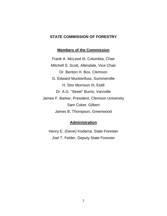# **STATE COMMISSION OF FORESTRY**

## **Members of the Commission**

Frank A. McLeod III, Columbia, Chair Mitchell S. Scott, Allendale, Vice Chair Dr. Benton H. Box, Clemson G. Edward Muckenfuss, Summerville H. Stro Morrison III, Estill Dr. A.G. "Skeet" Burris, Varnville James F. Barker, President, Clemson University Sam Coker, Gilbert James B. Thompson, Greenwood

## **Administration**

Henry E. (Gene) Kodama, State Forester Joel T. Felder, Deputy State Forester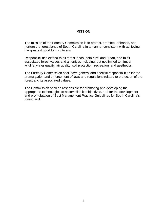## **MISSION**

The mission of the Forestry Commission is to protect, promote, enhance, and nurture the forest lands of South Carolina in a manner consistent with achieving the greatest good for its citizens.

Responsibilities extend to all forest lands, both rural and urban, and to all associated forest values and amenities including, but not limited to, timber, wildlife, water quality, air quality, soil protection, recreation, and aesthetics.

The Forestry Commission shall have general and specific responsibilities for the promulgation and enforcement of laws and regulations related to protection of the forest and its associated values.

The Commission shall be responsible for promoting and developing the appropriate technologies to accomplish its objectives, and for the development and promulgation of Best Management Practice Guidelines for South Carolina's forest land.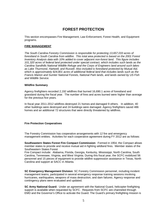# **FOREST PROTECTION**

This section encompasses Fire Management, Law Enforcement, Forest Health, and Equipment programs.

## **FIRE MANAGEMENT**

*The South Carolina Forestry Commission is responsible for protecting 13,657,033 acres of forestland in South Carolina from wildfire. This total area protected is based on the 2001 Forest Inventory Analysis data with 10% added to cover adjacent non-forest land. This figure includes 101,320 acres of federal land protected under special contract, which includes such lands as the Carolina Sandhills National Wildlife Refuge and the Corps of Engineers land around such lakes as Lake Thurmond, Hartwell, and Russell. Also included is forestland protected by Mutual Aid, which is approximately 824,801 acres of additional federal land that includes lands such as the Francis Marion and Sumter National Forests, National Park lands, and lands owned by US Fish and Wildlife Service.*

#### **Wildfire Summary**

Agency firefighters recorded 2,192 wildfires that burned 16,690.1 acres of forestland and grassland during the fiscal year. The number of fires and acres burned were higher than average for the previous five years.

In fiscal year 2011-2012 wildfires destroyed 21 homes and damaged 9 others. In addition, 40 other buildings were destroyed and 24 buildings were damaged. Agency firefighters saved 486 homes and an additional 72 structures that were directly threatened by wildfires.

#### **Fire Protection Cooperatives**

The Forestry Commission has cooperative arrangements with 12 fire and emergency management entities. Activities for each cooperative agreement during FY 2012 are as follows:

**Southeastern States Forest Fire Compact Commission**: Formed in 1954, the Compact allows member states to provide and receive mutual aid in fighting wildland fires. Member states of the Southeastern States Forest

Fire Compact include: Alabama, Florida, Georgia, Kentucky, Mississippi, North Carolina, South Carolina, Tennessee, Virginia, and West Virginia. During this fiscal year, the SCFC mobilized 56 personnel and 15 pieces of equipment to provide wildfire suppression assistance in Texas, North Carolina and support at SACC in Atlanta.

**SC Emergency Management Division**: SC Forestry Commission personnel, including incident management teams, participated in several emergency response training sessions involving hurricanes, earthquakes, weapons of mass destruction, and dam failures. Agency response and contingency plans were evaluated and updated.

**SC Army National Guard:** Under an agreement with the National Guard, helicopter firefighting support is available when requested by SCFC. Requests from SCFC are channeled through EMD and the Governor's Office to activate the Guard. The Guard's primary firefighting mission is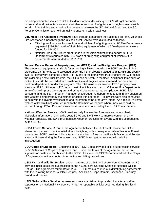providing helibucket service to SCFC Incident Commanders using SCFC's 780-gallon Bambi buckets. Guard helicopters are also available to transport firefighters into rough or inaccessible terrain. Joint training and coordination meetings between the SC National Guard and the SC Forestry Commission are held annually to ensure mission readiness.

**Volunteer Fire Assistance Program**: Pass through funds from the National Fire Plan, Volunteer Fire Assistance funds through the USDA Forest Service were distributed as follows:

- Title II grant funds are for structural and wildland firefighting needs: 60 Fire Departments requested \$276,284 worth of firefighting equipment of which 47 fire departments were funded for \$94,802.
- National Fire Plan Title IV grant funds are for wildland firefighting needs: 90 Fire Departments requested \$453,907 worth of firefighting equipment of which 52 fire departments were funded for \$121,733.

**Federal Excess Personal Property program (FEPP) and the Firefighters Program (FFP):** The amount of equipment available for screening is limited but with the SCFC enrolled in both programs, six (6) items were screened under the FEPP program valued at \$551,956 and twentyfive (25) items were screened under FFP. Many of the items were truck tractors that will replace the older single axle truck tractors the SCFC has currently in the fleet. Additional items such as pickup trucks (to be converted into brush trucks) and engines were screened and delivered to rural fire departments under this program. The total value of inventoried FEPP property now stands at \$23.4 million for 1,120 items, most of which are on loan to Volunteer Fire Departments. In an effort to improve the program and bring all departments into compliance, SCFC field personnel and the FEPP program manager encouraged fire departments to turn in any equipment that was not being properly maintained or actively in operation. Field visits were also conducted to help with the inventory verification and reiteration of the program's intent. As a result, 74 items (valued at \$1.3 million) were returned to the Columbia warehouse where most were sold on auction through GSA. Proceeds from these sales are collected by the USDA Forest Service.

**National Weather Service**: NWS provides daily fire weather forecasts and atmospheric dispersion information. During the year, SCFC and NWS work to improve content of daily weather forecasts. The NWS provided spot weather forecasts for several wildfires as requested by the SCFC.

**USDA Forest Service**: A mutual aid agreement between the US Forest Service and SCFC allows both parties to provide initial attack firefighting within one-quarter mile of National Forest boundaries. SCFC provided initial attack on a number of fires on the Francis Marion and Sumter National Forests during the fire season, and SCFC investigators assisted with wildfire investigation.

**DOD Corps of Engineers**: Beginning in 1997, SCFC has provided all fire suppression services on 55,320 acres of Corps of Engineers land. Under the terms of the agreement, actual fire suppression costs are reimbursed to the SCFC. This year the SCFC coordinated with the Corps of Engineers to validate contact information and billing procedures.

**USDI Fish and Wildlife Service**: Under the terms of a 1992 land acquisition agreement, SCFC provides initial attack fire suppression on the 46,000 acre Carolina Sandhills National Wildlife Refuge. The agreement terminates in 2042. SCFC maintains mutual aid firefighting agreements with the following National Wildlife Refuges: Ace Basin, Cape Romain, Savannah, Pinckney Island, and Santee.

**USDI National Park Service**: Agreements were maintained to provide initial attack wildfire suppression on National Park Service lands; no reportable activity occurred during this fiscal year.*.*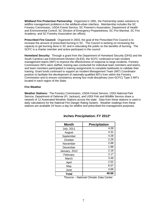**Wildland Fire Protection Partnership**: Organized in 1991, the Partnership seeks solutions to wildfire management problems in the wildland-urban interface. Membership includes the SC Forestry Commission, USDA Forest Service, SC Firemen's Association, Department of Health and Environmental Control, SC Division of Emergency Preparedness, SC Fire Marshal, SC Fire Academy, and SC Forestry Association (ex officio).

**Prescribed Fire Council:** Organized in 2003, the goal of the Prescribed Fire Council is to increase the amount of prescribed burning in SC. The Council is working on increasing the capacity to get burning done in SC and in educating the public on the benefits of burning. The SCFC is a charter member and active participant in the council.

**Homeland Security:** Through a grant from the Department of Homeland Security (DHS) and the South Carolina Law Enforcement Division (SLED), the SCFC continued to train incident management teams (IMT) to improve the effectiveness of response to large incidents. Forestry Commission IMTs were staffed, training was conducted for individual team members and teams, and team members participated in training assignments to complete taskbooks to validate their training. Grant funds continued to support an Incident Management Team (IMT) Coordinator position to facilitate the development of nationally-qualified IMTs from within the Forestry Commission and to ensure consistency among four multi-disciplinary (non-SCFC) Type 3 IMTs located in each region of the State.

#### **Fire Weather**

**Weather Stations:** The Forestry Commission, USDA Forest Service, USDI National Park Service, Department of Defense (Ft. Jackson), and USDI Fish and Wildlife Service share a network of 12 Automated Weather Stations across the state. Data from these stations is used in daily calculations for the National Fire Danger Rating System. Weather readings from these stations are available 24 hours a day for wildfire and prescribed fire management purposes.

| <b>Month</b>                          | <b>Precipitation</b>          |
|---------------------------------------|-------------------------------|
| July, 2011                            | 4.09                          |
| August                                | 4.31                          |
| September                             | 4.28                          |
| October                               | 2.29                          |
| November                              | 2.68                          |
| December                              | 1.88                          |
| January, 2012                         | 2.19                          |
| February                              | 2.17                          |
| March                                 | 3.49                          |
| April                                 | 2.52                          |
| May                                   | 6.07                          |
| June                                  | 4.69                          |
| <b>Total</b><br>$\overline{a}$<br>. . | 40.66<br>$\sim$<br>. .<br>- - |

## **Inches Precipitation: FY 2012\***

**\***Source – National Climatic Data Center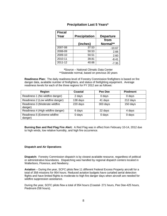| <b>Fiscal</b> |                      |                  |
|---------------|----------------------|------------------|
| Year          | <b>Precipitation</b> | <b>Departure</b> |
|               |                      | from             |
|               | (inches)             | Normal**         |
| 2007-08       | 37.53                | $-10.67$         |
| 2008-09       | 50.53                | 2.66             |
| 2009-10       | 50.51                | 2.60             |
| 2010-11       | 39.81                | $-8.41$          |
| 2011-12       | 40.66                | $-7.35$          |

## **Precipitation Last 5 Years\***

**\***Source – National Climatic Data Center \*\*Statewide normal, based on previous 30 years

**Readiness Plan:** The daily readiness level of Forestry Commission firefighters is based on fire danger data, available number of firefighters, and status of firefighting equipment. Average readiness levels for each of the three regions for FY 2012 are as follows:

| Region                                    | Coastal  | Pee Dee  | <b>Piedmont</b> |
|-------------------------------------------|----------|----------|-----------------|
| Readiness 1 (No wildfire danger)          | 2 days   | 0 days   | 0 days          |
| Readiness 2 (Low wildfire danger)         | 138 days | 41 days  | 212 days        |
| Readiness 3 (Moderate wildfire<br>danger) | 220 days | 303 days | 150 days        |
| Readiness 4 (High wildfire danger)        | 6 days   | 22 days  | 4 days          |
| Readiness 5 (Extreme wildfire<br>danger)  | 0 days   | 0 days   | 0 days          |

**Burning Ban and Red Flag Fire Alert:** A Red Flag was in effect from February 10-14, 2012 due to high winds, low relative humidity, and high fire occurrence.

#### **Dispatch and Air Operations**

**Dispatch:** Forestry Commission dispatch is by closest available resource, regardless of political or administrative boundaries. Dispatching was handled by regional dispatch centers located in Walterboro, Florence, and Newberry.

**Aviation** – During the year, SCFC pilots flew 11 different Federal Excess Property aircraft for a total of 358 missions for 954 hours. Reduced aviation budgets have curtailed aerial detection flights and have limited flights to moderate to high fire danger days when aircraft are needed for wildfire suppression assistance.

During the year, SCFC pilots flew a total of 954 hours (Coastal- 271 hours, Pee Dee-425 hours, Piedmont-258 hours).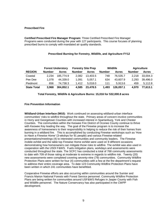#### **Prescribed Fire**

**Certified Prescribed Fire Manager Program:** Three Certified Prescribed Fire Manager Programs were conducted during the year with 127 participants. This course focuses of planning prescribed burns to comply with mandated air quality standards.

## **Prescribed Burning for Forestry, Wildlife, and Agriculture FY12**

|                    |                    | <b>Forest Understory</b> |               | <b>Forestry Site Prep</b> |               | <b>Wildlife</b> | <b>Agriculture</b> |              |  |  |
|--------------------|--------------------|--------------------------|---------------|---------------------------|---------------|-----------------|--------------------|--------------|--|--|
| <b>REGION</b>      | <b>Number</b>      | <b>Acres</b>             | <b>Number</b> | <b>Acres</b>              | <b>Number</b> | <b>Acres</b>    | <b>Number</b>      | <b>Acres</b> |  |  |
| Coastal            | 2.234              | 185.774.9                | 2.082         | 13,403.5                  | 748           | 76.535.7        | 2.218              | 33,004.3     |  |  |
| Pee Dee            | 1.078              | 44,339.0                 | 1.091         | 5.057.1                   | 634           | 43.607.9        | 2.293              | 39,496.0     |  |  |
| <b>Piedmont</b>    | 656                | 74,738.3                 | 1.412         | 5.018.0                   | 111           | 5.913.6         | 459                | 5,112.8      |  |  |
| <b>State Total</b> | 3.968<br>304,852.1 |                          | 4,585         | 23,478.5                  | 1.493         | 126,057.1       | 4.970              | 77,613.1     |  |  |

**Total Forestry, Wildlife & Agriculture Burns: 15,016 for 532,000.8 acres** 

#### **Fire Prevention Information**

**Wildland-Urban Interface (WUI):** Work continued on assessing wildland-urban interface communities' risks to wildfire throughout the state. Primary areas of concern involve communities in Horry and Georgetown Counties with increased interest in Spartanburg, York and Chester Counties. The communities within the Keowee Fire District of Oconee County continue to thrive with Keowee Key leading the way. The goal of the Firewise program is to increase the awareness of homeowners to their responsibility in helping to reduce the risk of their homes from burning in a wildland fire. This is accomplished by conducting Firewise workshops such as 'How *to Have a Firewise Home'* (3-wkshps for 91 people) and various Firewise-related presentations/meetings (4) to interested communities and community leaders. The Firewise mobile exhibit and the table top Firewise Home exhibit were used on 9 different occasions demonstrating how homeowners can mitigate those risks to wildfire. The exhibit was also used in cooperation with the USDI F&WS. Fuels mitigation plans, workdays and assessments were conducted throughout the state. The SCFC has conducted a total of 768 community assessments to date with 709 of those rating at moderate to extreme in regards to wildfire risk. Twenty (20) new assessments were completed covering seventy-nine (79) communities. Community Wildfire Protection Plans were written for four (4) communities with a few at the fire department's request to address their entire coverage area. To date 123 Community Wildfire Protection Plans have been written in which 241 communities have benefitted.

Cooperative Firewise efforts are also occurring within communities around the Sumter and Francis Marion National Forests with Forest Service personnel. Community Wildfire Protection Plans are being written for communities around USF&WS Refuges in Jasper County with Fish and Wildlife personnel. The Nature Conservancy has also participated in the CWPP development.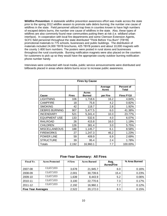**Wildfire Prevention:** A statewide wildfire prevention awareness effort was made across the state prior to the spring 2012 wildfire season to promote safe debris burning; the number one cause of wildfires in the state. Field personnel utilized trap lines in counties known to have high numbers of escaped debris burns, the number one cause of wildfires in the state. Also, these types of wildfires are also commonly found near communities putting them at risk (i.e. wildland urban interface). In cooperation with local fire departments and some Clemson Extension Agents, SCFC field personnel throughout the state distributed "Think Before You Burn" (TBYB) promotional materials to 775 schools, businesses and public buildings. The distribution of materials included 24,000 TBYB brochures, 425 TBYB posters and about 10,000 magnets with the county 1-800 burn numbers. The posters were posted in rural stores and businesses throughout the rural countryside. Burning notification magnets were also placed on the counters for customers to pick up so they would have the appropriate county outdoor burning notification phone number handy.

Interviews were conducted with local media, public service announcements were distributed and billboards placed in areas where debris burns occur to increase public awareness.

| <b>Fires by Cause</b> |              |                               |                  |                                   |  |  |  |  |  |  |  |
|-----------------------|--------------|-------------------------------|------------------|-----------------------------------|--|--|--|--|--|--|--|
|                       |              |                               | Average<br>Acres | <b>Percent of</b><br><b>Total</b> |  |  |  |  |  |  |  |
| Cause                 | <b>Fires</b> | <b>Acres</b><br><b>Burned</b> | per Fire         | Fires FY10                        |  |  |  |  |  |  |  |
| <b>LIGHTNING</b>      | 106          | 1,718.6                       | 16.2             | 4.84%                             |  |  |  |  |  |  |  |
| <b>CAMPFIRE</b>       | 18           | 75.8                          | 4.2              | 0.82%                             |  |  |  |  |  |  |  |
| <b>SMOKING</b>        | 42           | 118.7                         | 2.8              | 1.92%                             |  |  |  |  |  |  |  |
| <b>DEBRIS BURNING</b> | 907          | 5,477.5                       | 6.0              | 41.38%                            |  |  |  |  |  |  |  |
| <b>INCENDIARY</b>     | 521          | 5,341.4                       | 10.3             | 23.77%                            |  |  |  |  |  |  |  |
| <b>EQUIPMENT USE</b>  | 133          | 532.6                         | 4.0              | 6.07%                             |  |  |  |  |  |  |  |
| <b>RAILROAD</b>       | 26           | 415.8                         | 16.0             | 1.19%                             |  |  |  |  |  |  |  |
| <b>CHILDREN</b>       | 126          | 381.4                         | 3.0              | 5.75%                             |  |  |  |  |  |  |  |
| <b>MISCELLANEOUS</b>  | 188          | 1,145.7                       | 6.1              | 8.58%                             |  |  |  |  |  |  |  |
| <b>FIREWORKS</b>      | 27           | 1,247.3                       | 46.2             | 1.23%                             |  |  |  |  |  |  |  |
| <b>POWER LINE</b>     | 59           | 409.9                         | 6.9              | 2.69%                             |  |  |  |  |  |  |  |
| <b>STRUCTURE</b>      | 39           | 95.4                          | 2.4              | 1.78%                             |  |  |  |  |  |  |  |
| Totals                | 2,192        | 16,960.1                      | 7.7              | 100.00%                           |  |  |  |  |  |  |  |

**Five-Year Summary: All Fires**

| <b>Fiscal Yr.</b>         | <b>Acres Protected</b> | $#$ Fires | <b>Acres Burned</b> | Avg.              | % Area Burned |
|---------------------------|------------------------|-----------|---------------------|-------------------|---------------|
|                           |                        |           |                     | <b>Acres/Fire</b> |               |
| 2007-08                   | 13,657,033             | 3,678     | 21,945.7            | 6.0               | 0.16%         |
| 2008-09                   | 13,657,033             | 2,001     | 30,739.6            | 15.4              | 0.23%         |
| 2009-10                   | 13,657,033             | 1,639     | 8,443.9             | 5.2               | 0.06%         |
| 2010-11                   | 13,657,033             | 3,100     | 22,770.6            | 7.3               | 0.17%         |
| 2011-12                   | 13,657,033             | 2,192     | 16,960.1            | 7.7               | 0.12%         |
| <b>Five Year Averages</b> |                        | 2,522     | 20,172.0            | 8.3               | 0.15%         |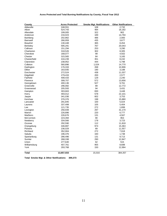## **Acres Protected and Total Burning Notifications by County, Fiscal Year 2012**

| County           | <b>Acres Protected</b> | <b>Smoke Mgt. Notifications</b> | <b>Other Notifications</b> |
|------------------|------------------------|---------------------------------|----------------------------|
| Abbeville        | 248,551                | 108                             | 2,732                      |
| Aiken            | 524,743                | 484                             | 16,182                     |
| Allendale        | 199,005                | 322                             | 902                        |
| Anderson         | 216,023                | 189                             | 14,794                     |
| Bamberg          | 202,862                | 486                             | 2,083                      |
| Barnwell         | 266,959                | 435                             | 3,677                      |
| <b>Beaufort</b>  | 130,448                | 365                             | 8,454                      |
| <b>Berkeley</b>  | 595,291                | 767                             | 20,043                     |
| Calhoun          | 151,294                | 253                             | 3,290                      |
| Charleston       | 318,526                | 302                             | 8,305                      |
| Cherokee         | 168,077                | 99                              | 4,502                      |
| Chester          | 315,565                | 84                              | 3,165                      |
| Chesterfield     | 416,239                | 351                             | 8,242                      |
| Clarendon        | 238,952                | 444                             | 5,798                      |
| Colleton         | 560,896                | 1,024                           | 14,770                     |
| Darlington       | 176,333                | 268                             | 10,906                     |
| Dillon           | 163,935                | 190                             | 3,188                      |
| Dorchester       | 272,524                | 438                             | 11,037                     |
| Edgefield        | 279,433                | 200                             | 2,577                      |
| Fairfield        | 408,433                | 129                             | 2,240                      |
| Florence         | 308,707                | 572                             | 13,656                     |
| Georgetown       | 400,136                | 527                             | 9,761                      |
| Greenville       | 296,082                | 89                              | 12,772                     |
| Greenwood        | 205,593                | 94                              | 3,431                      |
| Hampton          | 303,663                | 830                             | 3,448                      |
| Horry            | 493,012                | 578                             | 22,101                     |
| Jasper           | 341,036                | 602                             | 3,753                      |
| Kershaw          | 376,376                | 198                             | 15,880                     |
| Lancaster        | 291,845                | 100                             | 5,024                      |
| Laurens          | 337,499                | 105                             | 5,404                      |
| Lee              | 121,735                | 272                             | 1,899                      |
| Lexington        | 256,939                | 297                             | 31,170                     |
| Marion           | 226,896                | 220                             | 6,777                      |
| Marlboro         | 226,676                | 131                             | 4,567                      |
| <b>McCormick</b> | 223,394                | 90                              | 953                        |
| Newberry         | 334,566                | 178                             | 3,723                      |
| Oconee           | 292,590                | 112                             | 11,818                     |
| Orangeburg       | 446,887                | 974                             | 15,363                     |
| Pickens          | 236,029                | 89                              | 11,557                     |
| Richland         | 352,904                | 272                             | 7,918                      |
| Saluda           | 196,376                | 160                             | 1,738                      |
| Spartanburg      | 286,496                | 131                             | 9,713                      |
| Sumter           | 268,338                | 290                             | 12,847                     |
| Union            | 277,640                | 62                              | 515                        |
| Williamsburg     | 407,761                | 955                             | 8,688                      |
| York             | 293,768                | 150                             | 12,994                     |
| <b>Total</b>     | 13,657,033             | 15,016                          | 384,357                    |

**Total Smoke Mgt. & Other Notifications 399,373**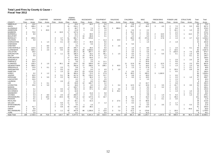#### **Total Land Fires by County & Cause – Fiscal Year 2012**

|                                     |                     | <b>LIGHTNING</b> |                | <b>CAMPFIRE</b> |                | <b>SMOKING</b> |                | <b>DEBRIS</b><br><b>BURNING</b> |                | <b>INCENDIARY</b> |                | <b>EQUIPMENT</b> |       | <b>RAILROAD</b> |                | <b>CHILDREN</b> |                | <b>MISC</b> |                | <b>FIREWORKS</b> |                     | POWER LINE  |                | <b>STRUCTURE</b> | Total          | Total         |
|-------------------------------------|---------------------|------------------|----------------|-----------------|----------------|----------------|----------------|---------------------------------|----------------|-------------------|----------------|------------------|-------|-----------------|----------------|-----------------|----------------|-------------|----------------|------------------|---------------------|-------------|----------------|------------------|----------------|---------------|
| <b>COUNTY</b>                       | <b>Fires</b>        | Acres            | Fires          | Acres           | Fires          | Acres          | Fires          | Acres                           | Fires          | Acres             | Fires          | Acres            | Fires | Acres           | Fires          | Acres           | Fires          | Acres       | Fires          | Acres            | Fires               | Acres       | Fires          | Acres            | Fires          | Acres         |
| ABBEVILLE                           | -1                  | 10.0             |                |                 |                |                | $\overline{4}$ | 19.4                            | 17             | 44.2              | $\overline{2}$ | 0.4              |       |                 |                | 0.8             | -1             | 0.2         |                |                  |                     |             |                |                  | 26             | 75.0          |
| AIKEN                               | 11                  | 188.4            | $\mathbf{1}$   | 2.0             |                |                | 41             | 216.1                           |                |                   | -5             | 56.7             |       |                 | 19             | 63.5            | 17             | 60.2        | 3              | 4.0              | 2                   | 7.0         | 6              | 9.3              | 105            | 607.2         |
| ALLENDALE                           | $\overline{2}$      | 21.2             |                |                 |                |                | 6              | 48.7                            | 6              | 7.4               | $\overline{2}$ | 8.0              |       | 285.0           |                |                 |                |             |                |                  | $\overline{2}$      | 8.0         |                |                  | 19             | 378.3         |
| <b>ANDERSON</b>                     |                     |                  |                | 20.0            |                |                | 8              | 11.8                            | -1             | 0.5               | -1             | 1.0              |       |                 |                | 0.6             | 3              | 2.2         |                |                  | 3                   | 16.1        |                | 1.0              | 19             | 53.2          |
| <b>BAMBERG</b>                      | 3                   | 75.0             |                |                 | $\Delta$       | 10.0           | 17             | 127.6                           |                |                   | 3              | 4.1              |       |                 |                | 51.2            |                | 0.1         |                |                  | $\overline{2}$      | 2.2         |                |                  | 34             | 270.2         |
| <b>BARNWELL</b>                     | $\mathcal{R}$       | 8.9              |                |                 |                |                | <sub>9</sub>   | 41.2                            | - 1            | 60.0              |                | 0.1              |       |                 | 5              | 8.5             |                | 8.0         | 2              | 13.0             | 3                   | 5.0         |                | 13.2             | 27             | 157.9         |
| <b>BEAUFORT</b>                     |                     |                  |                |                 |                |                | 6              | 27.2                            | 16             | 80.8              |                | 0.1              |       |                 |                | 1.0             |                | 5.0         | 1              | 10.0             | -1                  | 2.0         |                |                  | 27             | 126.1         |
| <b>BERKELEY</b>                     | 6                   | 105.6            |                |                 | 3              | 4.7            | 61             | 681.7                           | 41             | 378.8             |                |                  |       |                 | 5              | 69.0            | 20             | 272.5       | $\overline{2}$ | 17.8             | $\overline{2}$      | 1.6         | 4              | 4.7              | 144            | 1,536.4       |
| <b>CALHOUN</b>                      |                     | 5.0              |                |                 |                | 7.0            | 19             | 50.7                            |                |                   | 7              | 11.3             |       | 15.0            | $\mathbf{1}$   | 2.0             |                | 1.0         |                |                  |                     |             |                |                  | 31             | 92.0          |
| <b>CHARLESTON</b>                   |                     |                  |                | 1.4             |                | 0.1            | 19             | 219.2                           | 7              | 30.8              |                | 8.5              |       |                 |                |                 |                | 1.0         |                |                  | $\overline{2}$      | 1.8         |                |                  | 32             | 262.8         |
| <b>CHEROKEE</b>                     |                     |                  |                |                 |                |                | 3              | 1.7                             | $\overline{2}$ | 4.6               |                | 0.2              |       |                 | 3              | 5.0             |                |             |                |                  |                     |             |                |                  | 9              | 11.5          |
| <b>CHESTER</b>                      |                     |                  |                | 8.0             |                |                | $\overline{2}$ | 3.0                             |                |                   |                | 0.1              |       | 2.5             |                |                 |                |             |                |                  |                     |             |                |                  | 8              | 13.6          |
| <b>CHESTERFIELD</b>                 | -6                  | 115.5            |                | 3.0             | $\overline{2}$ | 13.0           | 29             | 445.7                           | -6             | 28.4              | 6              | 6.5              |       |                 | 2              | 1.0             | $\overline{2}$ | 8.0         |                |                  |                     | 2.0         |                | 0.1              | 56             | 623.2         |
| <b>CLARENDON</b>                    | $\overline{\bf{4}}$ | 505.3            |                | 2.0             | 1              | 0.5            | 43             | 168.6                           | 26             | ,559.0            |                | 15.0             |       |                 |                | 2.5             |                | 2.0         | 2              | 2.1              | 2                   | 10.5        |                |                  | 82             | 2,267.5       |
| <b>COLLETON</b>                     | $\overline{2}$      | 30.0             |                |                 |                |                | 52             | 251.2                           | 35             | 307.7             | 9              | 59.7             |       |                 | $\overline{2}$ | 4.0             | 3              | 5.6         |                |                  | 3                   | 210.0       | 3              | 7.5              | 109            | 875.7         |
| <b>DARLINGTON</b>                   | -1                  | 1.0              |                |                 | 2              | 1.1            | 33             | 186.4                           | 8              | 33.2              | 8              | 46.1             |       | 1.5             | 3              | 8.4             | 6              | 7.3         |                | 5.0              |                     | 0.1         |                | 1.0              | 65             | 291.1         |
| <b>DILLON</b>                       |                     | 5.0              |                |                 |                |                | 6              | 32.0                            | 15             | 97.9              | 3              | 2.2              |       |                 | $\overline{2}$ | 2.3             | 3              | 1.2         |                |                  |                     |             |                | 0.1              | 31             | 140.7         |
| <b>DORCHESTER</b>                   |                     |                  |                |                 |                |                | 27             | 59.6                            | 15             | 83.6              | $\mathcal{P}$  | 3.0              |       |                 | 6              | 20.3            |                | 2.0         |                |                  |                     |             |                |                  | 51             | 168.5         |
| <b>EDGEFIELD</b>                    | $\overline{2}$      | 14.0             |                |                 |                |                | 8              | 40.5                            | -1             | 2.0               |                |                  |       |                 |                |                 | 3              | 16.0        |                |                  |                     | 2.0         |                | 2.0              | 16             | 76.5          |
| <b>FAIRFIELD</b>                    | 6                   | 53.3             |                |                 |                |                | 5              | 3.9                             | - 1            | 2.0               | -5             | 11.1             |       |                 |                |                 | 6              | 24.9        |                |                  |                     | 0.6         |                |                  | 24             | 95.8          |
| <b>FLORENCE</b>                     | 6                   | 129.3            | $\overline{2}$ | 1.0             | 3              | 30.1           | 40             | 224.7                           | 53             | 329.0             | 14             | 11.8             |       |                 | 11             | 12.9            | 16             | 44.8        | $\overline{2}$ | 12.5             |                     | 4.0         | 5              | 2.5              | 153            | 802.6         |
| <b>GEORGETOWN</b>                   | 6                   | 185.5            |                |                 |                |                | 21             | 262.8                           | 17             | 168.5             | 6              | 108.1            | 3     | 45.5            | $\overline{2}$ | 0.3             | 5              | 19.5        | $\overline{2}$ | 7.1              | -1                  | 1.0         | -1             | 1.0              | 64             | 799.3         |
| <b>GREENVILLE</b>                   | $\overline{2}$      | 13.0             |                | 0.1             |                | 2.0            | $\overline{7}$ | 5.8                             | 6              | 7.5               |                |                  |       |                 | $\overline{2}$ | 1.3             | 6              | 17.8        |                | 1.0              |                     |             |                | 0.1              | 27             | 48.6          |
| <b>GREENWOOD</b>                    | $\mathbf{1}$        | 14.0             |                |                 |                | 0.5            | 12             | 19.0                            | $\overline{2}$ | 5.0               | 3              | 4.0              |       | 1.0             |                |                 | 2              | 1.3         |                |                  | 2                   | 20.5        | $\overline{2}$ | 0.9              | 26             | 66.2          |
| <b>HAMPTON</b>                      |                     |                  |                |                 |                | 1.5            | 27             | 62.6                            | 23             | 173.8             | 3              | 5.0              |       |                 |                | 0.5             |                | 2.5         |                |                  | $\overline{1}$      | 0.5         |                |                  | 57             | 246.4         |
| <b>HORRY</b>                        |                     | 0.2              | $\overline{2}$ | 1.2             |                |                | 39             | 364.4                           | 23             | 72.2              | 6              | 27.9             |       |                 | 11             | 28.3            | 5              | 183.2       | 3              | 1,162.0          |                     |             |                |                  | 90             | 1,839.4       |
| <b>JASPER</b>                       | $\overline{2}$      | 62.0             |                |                 | 3              | 5.1            | 36             | 417.9                           | 26             | 176.2             | 6              | 13.7             |       |                 |                | 6.8             |                | 43.0        |                |                  |                     | 0.5         |                |                  | 82             | 725.2         |
| <b>KERSHAW</b>                      | $\overline{7}$      | 30.6             |                | 5.0             | $\overline{2}$ | 2.2            | 18             | 161.9                           | 7              | 36.4              | 3              | 4.1              |       |                 |                | 6.0             | 6              | 19.5        |                |                  |                     | 2.0         |                | 1.0              | 47             | 268.7         |
| LANCASTER                           |                     | 24.0             |                |                 |                |                |                | 4.2                             | $\overline{4}$ | 7.1               | $\overline{2}$ | 2.5              |       |                 |                |                 | 3              | 1.0         |                |                  |                     | 1.5         |                |                  | 19             | 40.3          |
| <b>LAURENS</b>                      |                     | 7.5              |                |                 |                | 2.0            | -1             | 0.8                             | $\overline{2}$ | 8.5               | $\overline{2}$ | 39.0             |       |                 |                |                 |                |             |                |                  | $\overline{2}$      | 7.5         |                |                  | 9              | 65.3          |
| <b>LEE</b>                          |                     | 7.0              |                | 0.1             |                |                | 25             | 93.8                            | 12             | 165.7             |                | 2.2              |       |                 |                |                 | 8              | 22.7        |                |                  |                     | 0.8         |                |                  | 50             | 292.3         |
| <b>LEXINGTON</b>                    | $\overline{7}$      | 25.0             |                | 5.0             |                |                | 14             | 18.6                            | 6              | 6.5               | $\overline{4}$ | 7.8              |       | 0.4             | 9              | 12.5            | 12             | 10.9        |                | 3.5              | 4                   | 15.7        | 3              | 3.5              | 62             | 109.4         |
| <b>MARION</b>                       |                     |                  |                |                 |                |                | $\overline{4}$ | 103.7                           | 5              | 68.2              | $\overline{2}$ | 2.0              |       |                 |                | 1.5             |                | 3.5         | $\overline{2}$ | 3.2              | $\overline{2}$      | 2.0         |                |                  | 17             | 184.1         |
| <b>MARLBORO</b>                     |                     | 0.1              |                |                 |                | 0.5            | 12             | 50.3                            | 8              | 57.1              | 5              | 10.5             |       | 3.0             | $\overline{2}$ | 2.5             | $\overline{2}$ | 5.0         |                |                  |                     | 6.0         |                |                  | 33             | 135.0         |
| <b>MCCORMICK</b>                    |                     | 4.2              |                |                 |                | 4.0            | $\overline{4}$ | 42.8                            |                |                   |                |                  | 6     | 25.2            |                |                 |                | 5.5         |                |                  |                     | 1.9         |                | 1.0              | 18             | 84.6          |
| NEWBERRY<br><b>OCONEE</b>           |                     | 0.1              |                |                 |                |                | 3              | 1.8                             | $\overline{2}$ | 21.6              |                | 5.0              |       |                 |                |                 |                | 0.6         |                |                  |                     |             | 3              | 0.1<br>1.3       | 10             | 29.2          |
|                                     |                     | 0.3              | 2              | 8.0             |                | 2.0            | 10             | 250.5                           | $\overline{2}$ | 0.3               | -1             | 1.5              |       |                 |                |                 |                | 4.8         |                | 1.0              | 5                   | 9.4         |                |                  | 31             | 279.1         |
| <b>ORANGEBURG</b><br><b>PICKENS</b> | 3                   | 5.6              |                | 18.0            | 6              | 24.5           | 60<br>3        | 221.6<br>2.6                    | 13<br>-1       | 127.6             | 6              | 32.7             |       |                 | 8<br>3         | 26.7            | $\overline{2}$ | 15.0<br>0.1 |                | 1.5              | $\overline{1}$<br>2 | 35.0<br>3.0 |                |                  | 101<br>13      | 508.2<br>11.9 |
| <b>RICHLAND</b>                     | 3                   | 0.1<br>5.6       |                | 1.0             |                |                | 14             | 30.1                            | 5              | 1.5<br>41.5       |                |                  | 2     | 27.5            | 6              | 3.5<br>9.3      | 8              | 99.8        |                | 0.1              |                     |             |                |                  | 38             | 213.8         |
| <b>SALUDA</b>                       |                     |                  |                |                 |                | 5.0            | 11             | 9.7                             |                |                   | $\overline{2}$ | 1.2              |       |                 |                | 0.2             |                | 0.2         |                |                  | $\overline{2}$      | 1.7         |                |                  | 18             | 18.0          |
| <b>SPARTANBURG</b>                  |                     |                  |                |                 |                | 1.0            | 3              | 3.5                             | -1             | 1.5               |                |                  |       |                 |                |                 | 3              | 5.0         | 2              | 3.5              | $\overline{2}$      | 7.0         |                | 0.3              | 13             | 21.8          |
| <b>SUMTER</b>                       | -3                  | 41.7             |                |                 | $\overline{2}$ | 0.8            | 42             | 134.1                           | 19             | 38.2              |                |                  | 2     | 2.2             | 3              | 6.0             | 10             | 12.0        |                |                  |                     |             |                |                  | 81             | 235.0         |
| <b>UNION</b>                        | 3                   | 9.6              |                |                 |                |                | -1             | 0.2                             |                |                   |                | 1.5              |       |                 |                | 0.8             |                |             |                |                  |                     |             |                | 44.8             | $\overline{7}$ | 56.9          |
| <b>WILLIAMSBURG</b>                 | $\overline{2}$      | 13.0             |                |                 | 3              | 1.1            | 92             | 347.8                           | 86             | 1.106.6           |                | 13.0             | 3     | 7.0             | 3              | 21.2            | 8              | 179.8       |                |                  |                     | 20.0        |                |                  | 202            | 1,709.5       |
| <b>YORK</b>                         |                     | 2.0              |                |                 |                |                | 3              | 6.1                             |                |                   |                | 5.0              |       |                 |                | 1.0             | $\overline{2}$ | 31.0        |                |                  |                     | 1.0         |                |                  | 9              | 46.1          |
| <b>State Total</b>                  | 106                 | 1,718.6          | 18             | 75.8            | 42             | 118.7          | 907            | 5.477.5                         | 521            | 5.341.4           | 133            | 532.6            | 26    | 415.8           | 126            | 381.4           | 188            | 1.145.7     | 27             | 1.247.3          | 59                  | 409.9       | 39             | 95.4             | 2.192          | 16.960.1      |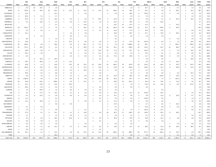|                            |                      | July        |                                  | Aug          |                | Sept       |                | Oct        |                     | Nov        |                            |            | Dec                |             | Jan                    |             | Feb                  | March        |                         |             | April          | May     |                | June       | <b>Total</b>   | <b>Total</b>    |
|----------------------------|----------------------|-------------|----------------------------------|--------------|----------------|------------|----------------|------------|---------------------|------------|----------------------------|------------|--------------------|-------------|------------------------|-------------|----------------------|--------------|-------------------------|-------------|----------------|---------|----------------|------------|----------------|-----------------|
| <b>COUNTY</b>              | Fires                | Acres       | <b>Fires</b>                     | Acres        | <b>Fires</b>   | Acres      | <b>Fires</b>   | Acres      | Fires               | Acres      | Fires                      | Acres      | <b>Fires</b>       | Acres       | Fires                  | Acres       | <b>Fires</b>         | Acres        | Fires                   | Acres       | <b>Fires</b>   | Acres   | <b>Fires</b>   | Acres      | Fires          | Acres           |
| ABBEVILLE                  | $\overline{1}$       | 6.5         | 10                               | 43.7         | 3              | 1.8        |                |            |                     |            |                            |            |                    |             |                        | 1.0         | 5                    | 10.7         | $\overline{4}$          | 7.3         |                | 0.7     |                | 3.3        | 26             | 75.0            |
| <b>AIKEN</b>               | 17                   | 152.6       | 14                               | 33.0         | 10             | 92.3       | 8              | 31.2       | 5                   | 15.3       | 6                          | 13.1       | 11                 | 104.0       | 13                     | 30.4        | 8                    | 63.7         | 3                       | 3.0         | 8              | 58.3    | $\overline{2}$ | 10.3       | 105            | 607.2           |
| ALLENDALE                  | $\overline{2}$       | 12.0        |                                  |              |                | 14.2       |                |            |                     | 3.0        |                            |            | $\overline{2}$     | 0.3         | $\mathbf{3}$           | 28.0        | $5\phantom{.0}$      | 313.5        | 3                       | 1.3         |                | 2.0     |                | 4.0        | 19             | 378.3           |
| ANDERSON                   | 3                    | 36.5        | 3                                | 3.1          |                | 0.7        |                |            |                     |            |                            |            |                    |             | $\mathfrak{p}$         | 2.5         | 6                    | 7.8          |                         | 1.0         |                |         | 3              | 1.6        | 19             | 53.2            |
| <b>BAMBERG</b>             | $\overline{2}$       | 87.0        | -1                               | 2.0          | 3              | 10.4       |                | 0.1        | $\overline{1}$      | 0.2        | 5                          | 29.1       | $\overline{2}$     | 21.0        | 6                      | 47.1        | $\overline{3}$       | 9.0          | $\overline{2}$          | 2.1         | - 5            | 52.0    | -3             | 10.2       | 34             | 270.2           |
| <b>BARNWELL</b>            | 1                    | 0.2         | $\overline{2}$                   | 13.5         | $\overline{2}$ | 0.3        |                | 4.0        | -3                  | 10.2       | $\mathbf{1}$               | 1.0        | 8                  | 42.2        | $\overline{2}$         | 18.5        | $\overline{4}$       | 6.0          | 3                       | 62.0        |                |         |                |            | 27             | 157.9           |
| <b>BEAUFORT</b>            |                      |             |                                  |              |                | 0.1        |                |            | $\Delta$            | 14.0       |                            |            | $\overline{7}$     | 33.2        | 10                     | 47.5        | $\overline{4}$       | 21.3         |                         |             |                | 10.0    |                |            | 27             | 126.1           |
| <b>BERKELEY</b><br>CALHOUN | 18<br>$\overline{2}$ | 291.2       | $\overline{4}$<br>$\overline{2}$ | 6.7          |                | 7.5        | -3             | 7.1        | $\overline{7}$<br>2 | 36.2       | $\overline{4}$<br>$\Delta$ | 9.1        | 26<br>$\mathsf{R}$ | 155.3       | 44                     | 653.4       | 12<br>$\overline{2}$ | 70.1         | 16<br>$\overline{2}$    | 215.8       | 6              | 84.0    | $\mathcal{P}$  |            | 144            | 1,536.4<br>92.0 |
| CHARLESTON                 | 5                    | 3.5         |                                  | 6.0          |                | 2.7        | $\overline{2}$ |            |                     | 2.5        |                            | 4.0        | 6                  | 24.4        | 3<br>$\overline{7}$    | 17.3        | 5                    | 15.5<br>57.7 | 3                       | 15.5        | $\overline{2}$ |         |                | 0.6        | 31             | 262.8           |
| CHEROKEE                   |                      | 15.1        |                                  | 0.2          |                |            | $\overline{2}$ | 1.5<br>3.6 |                     | 2.9<br>1.5 |                            |            |                    | 42.0<br>0.2 |                        | 28.7<br>2.0 | $\overline{1}$       | 1.0          | $\overline{1}$          | 76.9<br>2.0 |                | 36.5    |                | 1.5<br>1.0 | 32<br>-9       | 11.5            |
| CHESTER                    |                      | 8.0         |                                  |              |                | $1.0$      |                | 0.1        |                     |            |                            |            |                    | 2.0         |                        |             |                      |              |                         |             | 3              | 2.0     |                | 0.5        | 8              | 13.6            |
| CHESTERFIELD               | 9                    | 78.0        |                                  |              |                | 3.1        |                | 31.5       | 3                   | 8.0        | 3                          | 2.6        | 5                  | 4.3         | 6                      | 57.0        | 14                   | 415.6        | $\overline{4}$          | 5.9         | 3              | 7.2     |                | 10.0       | 56             | 623.2           |
| CLARENDON                  | 15                   | 165.6       | 5                                | 3.0          |                | 36.6       |                | 0.5        | $\overline{4}$      | 64.1       | 9                          | 77.1       | $\overline{4}$     | 7.6         | 13                     | 1,300.6     | 12                   | 98.1         |                         | 7.1         | $\overline{4}$ | 402.2   |                | 105.0      | 82             | 2,267.5         |
| COLLETON                   | 10                   | 172.1       | $\overline{2}$                   | 10.5         | 3              | 6.2        |                | 1.0        | -6                  | 65.5       | 5                          | 6.6        | 19                 | 62.1        | 25                     | 239.4       | 15                   | 176.1        | 8                       | 46.7        | 12             | 86.0    | -3             | 3.5        | 109            | 875.7           |
| <b>DARLINGTON</b>          | 9                    | 28.8        | 3                                | 0.8          | 5              | 5.2        | $\overline{2}$ |            | 3                   | 0.8        | 3                          | 16.5       | 10                 | 17.9        | 11                     | 61.7        | 11                   | 122.4        | $\overline{2}$          | 2.0         |                | 1.5     | 5              | 13.0       | 65             | 291.1           |
| <b>DILLON</b>              | 4                    | 36.1        | 4                                | 3.5          |                |            |                | 2.0        |                     | 0.5        | 5                          | 11.1       | 3                  | 0.8         | 3                      | 1.6         | 5                    | 76.2         |                         | 0.1         |                | 0.3     | 3              | 8.5        | 31             | 140.7           |
| <b>DORCHESTER</b>          | $\overline{2}$       | 6.0         |                                  |              |                |            |                | 3.0        |                     | 6.6        |                            | 0.1        | 15                 | 72.2        | 10                     | 30.0        | 6                    | 11.7         |                         | 30.6        | 3              | 4.3     |                | 4.0        | 51             | 168.5           |
| <b>EDGEFIELD</b>           |                      |             | 6                                | 20.5         |                | 29.0       |                |            |                     |            |                            | 2.0        |                    |             |                        |             |                      | 2.0          |                         | 4.0         |                |         | -3             | 19.0       | 16             | 76.5            |
| <b>FAIRFIELD</b>           | 6                    | 28.4        | 3                                | 29.8         |                | 0.6        | -3             | 11.0       |                     |            |                            |            | $\overline{1}$     | 0.5         |                        |             |                      | 0.5          | $\overline{4}$          | 1.8         | -5             | 23.2    |                |            | 24             | 95.8            |
| <b>FLORENCE</b>            | 13                   | 40.8        | 5                                | 1.4          | $\overline{7}$ | 42.8       | $\overline{7}$ | 13.5       | 13                  | 25.2       | 15                         | 43.8       | 22                 | 164.3       | 25                     | 133.5       | 24                   | 123.2        | 10                      | 68.3        | 8              | 33.5    | $\mathbf{A}$   | 112.3      | 153            | 802.6           |
| <b>GEORGETOWN</b>          | 9                    | 135.3       | $\overline{4}$                   | 13.0         | 5              | 42.6       | -3             | 1.3        | -5                  | 27.0       | $\overline{4}$             | 10.3       | 9                  | 25.9        | 12                     | 381.8       | 6                    | 102.0        | $\mathbf{3}$            | 12.1        | -3             | 36.0    |                | 12.0       | 64             | 799.3           |
| <b>GREENVILLE</b>          | 3                    | 1.1         | $\overline{4}$                   | 6.3          |                | 8.0        | $\overline{2}$ | 4.5        |                     | 10.0       |                            | 0.2        | $\overline{4}$     | 3.5         | 4                      | 6.7         | $\overline{4}$       | 6.1          | 3                       | 2.2         |                |         |                |            | 27             | 48.6            |
| GREENWOOD                  | 3                    | 20.9        | $\overline{4}$                   | 5.3          | 4              | 8.8        | $\overline{2}$ | 1.0        |                     |            | $\overline{2}$             | 3.0        |                    |             |                        | 2.0         | $\mathbf{3}$         | 3.0          | - 3                     | 5.0         |                | 2.0     | -3             | 15.2       | 26             | 66.2            |
| <b>HAMPTON</b>             | $\overline{2}$       | 0.6         | $\overline{2}$                   | 1.5          | $\overline{2}$ | $1.5\,$    |                | 1.0        | 3                   | 8.0        | $\overline{2}$             | 2.5        | 12                 | 24.6        | 10                     | 36.5        | 8                    | 38.5         | 8                       | 113.0       | $\overline{4}$ | 14.6    | 3              | 4.1        | 57             | 246.4           |
| <b>HORRY</b>               | 16                   | 1,353.6     | $\overline{4}$                   | 0.9          |                | 3.0        | $\overline{4}$ | 8.0        |                     | 9.5        | 12                         | 44.6       | 10                 | 62.0        | 17                     | 64.7        | 6                    | 19.5         | $\overline{7}$          | $7.5\,$     | 5              | 261.0   | $\overline{2}$ | 5.1        | 90             | 1,839.4         |
| <b>JASPER</b>              | 10                   | 40.9        | $\overline{2}$                   | 54.0         |                | 108.6      | 3              | 6.0        |                     | 19.7       | 3                          | 7.3        | 9                  | 48.0        | 20                     | 321.2       |                      | 33.5         | 11                      | 70.5        | $\overline{4}$ | 11.5    | 2              | 4.0        | 82             | 725.2           |
| <b>KERSHAW</b>             | 8                    | 32.1        | $\overline{4}$                   | 13.0         | 3              | 12.0       | $\overline{4}$ | 43.5       |                     |            |                            |            |                    | 7.7         | $\overline{4}$         | 7.8         | 3                    | 13.0         | 10                      | 13.6        | 3              | 8.5     |                | 117.5      | 47             | 268.7           |
| LANCASTER<br>LAURENS       | 6                    | 26.5<br>1.5 | $\overline{\phantom{0}}$         | 0.5          | $\overline{2}$ | 0.5<br>1.6 | $\overline{2}$ | 1.5        |                     | 2.0        |                            | 0.5<br>0.8 |                    | 2.0<br>3.5  | $\overline{4}$         | 5.3         | $\overline{2}$       | 3.5          |                         | $5.0$       |                |         |                |            | 19<br>9        | 40.3            |
| LEE                        | $\Delta$             | 5.2         | 3                                | 44.9<br>77.0 | 8              | 12.3       | -3             | 6.0<br>1.3 | -3                  | 5.4        | $\overline{2}$             | 9.0        | $\Delta$           | 13.0        | 6                      | 11.3        | 11                   | 103.6        | $\sqrt{5}$              | 53.2        |                |         |                | 1.0        | 50             | 65.3<br>292.3   |
| LEXINGTON                  | 5                    | 8.1         | 9                                | 21.0         | 6              | 5.8        |                | 8.3        | 6                   | 8.2        | 3                          | 5.4        | -6                 | 13.7        | -3                     | 0.6         | $\overline{2}$       | 0.9          | -7                      | 12.4        | - 5            | 18.3    | 6              | 6.7        | 62             | 109.4           |
| <b>MARION</b>              | 6                    | 17.2        |                                  |              |                | 0.2        |                |            |                     |            | $\mathbf{1}$               | 0.2        |                    | 2.5         | $\overline{2}$         | 2.0         | $\overline{2}$       | 155.0        | 3                       | 5.5         |                |         |                | 1.5        | 17             | 184.1           |
| MARLBORO                   | 6                    | 14.1        | 6                                | 10.6         | 2              | 4.1        |                |            | -3                  | 6.0        | 3                          | 5.1        | 5                  | 71.6        | $\overline{2}$         | 9.0         | 3                    | 8.5          |                         | 3.0         |                |         | $\overline{2}$ | 3.0        | 33             | 135.0           |
| <b>MCCORMICK</b>           |                      |             |                                  |              | Δ              | 9.0        | $\overline{2}$ | 8.5        |                     |            |                            |            |                    | 27.0        |                        |             | 3                    | 6.7          |                         | 4.2         | $\overline{7}$ | 29.2    |                |            | 18             | 84.6            |
| NEWBERRY                   | 1                    | 0.1         |                                  | 0.5          |                |            |                |            |                     |            |                            |            |                    | 0.1         |                        |             | $\overline{2}$       | 21.6         | 3                       | 0.9         |                | 5.0     |                | 1.0        | 10             | 29.2            |
| <b>OCONEE</b>              | 1                    | 1.0         | $\overline{7}$                   | 7.7          |                | 0.8        |                |            |                     | 0.1        |                            |            |                    | 4.8         | $\overline{4}$         | 7.5         | $\overline{4}$       | 231.5        | 8                       | 19.7        |                |         |                | 6.0        | 31             | 279.1           |
| ORANGEBURG                 | 17                   | 37.4        |                                  | 0.1          | 5              | 15.1       | 3              | 4.1        | 5                   | 10.8       | $\overline{2}$             | 9.5        | 18                 | 91.2        | 21                     | 128.2       | 13                   | 115.9        | 8                       | 50.3        | 8              | 45.6    |                |            | 101            | 508.2           |
| <b>PICKENS</b>             | $\overline{2}$       | 1.1         |                                  |              |                | 1.0        |                | 2.0        |                     | 1.5        |                            |            |                    | 1.5         | 3                      | 3.1         | $\overline{1}$       | 0.1          | $\overline{2}$          | 0.6         |                |         |                | 1.0        | 13             | 11.9            |
| <b>RICHLAND</b>            | $\overline{4}$       | 4.3         |                                  | 4.0          |                | 29.4       | $\overline{2}$ | 10.3       | -3                  | 2.3        | 3                          | 3.5        | $\mathbf{3}$       | 30.3        | $\overline{2}$         | 75.0        | 8                    | 32.0         | $\overline{2}$          | 15.1        | -3             | 4.6     | $\mathbf{3}$   | $3.0\,$    | 38             | 213.8           |
| SALUDA                     | $\overline{a}$       | 5.6         | 5                                | 3.9          | 2              | 1.5        |                |            |                     |            |                            | 0.1        |                    |             |                        | 0.1         | $\overline{2}$       | 5.0          | $\overline{\mathbf{3}}$ | 1.8         |                |         |                |            | 18             | 18.0            |
| SPARTANBURG                | 1                    | 0.5         | $\overline{4}$                   | 6.3          | 2              | 3.0        |                |            |                     | 2.0        |                            |            | $\overline{2}$     | 6.5         |                        | 2.0         |                      |              |                         |             |                | 1.0     |                | 0.5        | 13             | 21.8            |
| <b>SUMTER</b>              | 9                    | 8.2         | $\overline{2}$                   | $1.2$        | 13             | 21.2       |                | 0.1        | 3                   | 45.2       | $\overline{4}$             | 6.5        | -9                 | 13.8        | 5                      | 14.1        | 11                   | 48.5         | 6                       | 15.3        | 13             | 24.9    | 5              | 36.0       | 81             | 235.0           |
| <b>UNION</b>               |                      | 9.0         | 3                                | 2.4          |                |            |                |            |                     |            |                            | 0.2        |                    |             |                        |             |                      |              | $\overline{2}$          | 45.3        |                |         |                |            | $\overline{7}$ | 56.9            |
| WILLIAMSBURG               | 16                   | 60.7        | 5                                | 5.1          |                | 14.3       |                | 4.0        | 16                  | 51.3       | 12                         | 72.6       | 32                 | 466.4       | 44                     | 298.2       | 40                   | 571.7        | 19                      | 135.5       | $\mathbf{q}$   | 29.2    |                | 0.5        | 202            | 1,709.5         |
| <b>YORK</b>                |                      |             |                                  |              |                | 30.0       |                |            |                     |            |                            |            |                    |             | $\boldsymbol{\Lambda}$ | 8.0         | $\overline{2}$       | 3.0          |                         |             |                | 0.1     |                | 5.0        | 9              | 46.1            |
| <b>State Total</b>         | 255                  | 2,953.4     | 139                              | 456.9        | 144            | 588.8      | 78             | 242.0      | 121                 | 465.5      | 120                        | 397.4      | 291                | 1,673.9     | 355                    | 4,085.3     | 287                  | 3,125.2      | 198                     | 1,145.1     | 132            | 1,295.2 | 72             | 531.4      | 2,192          | 16,960.1        |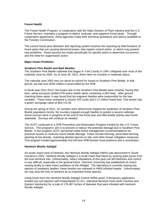#### **Forest Health**

The Forest Health Program, in cooperation with the State Division of Plant Industry and the U.S. Forest Service, maintains a program to detect, evaluate, and suppress forest pests. Through cooperative agreements, these agencies make their technical assistance and advice available to the Forestry Commission.

The current forest pest detection and reporting system involves the reporting by field foresters of forest pests that are causing abnormal losses, that require control action, or which may present new problems. Aerial surveys are made periodically for specific pests to determine occurrence and the need for suppression action.

#### **Major Insect Problems**

## **Southern Pine Beetle and Bark Beetles**

The Southern Pine Beetle outbreak that began in York County in 1997 collapsed over most of the outbreak zone by 2002. As of June 30, 2012, there were no counties in outbreak status.

The calendar year 2003 was our worst on record for losses to Southern Pine Beetle. In that period, we had over \$255 million in pines killed by the SPB.

In fiscal year 2011-2012, the losses due to the Southern Pine Beetle were minimal. During that time, aerial surveyors plotted 578 active beetle spots containing 4,264 trees. After ground checking these spots, it was found that Ips engraver beetles were responsible for the tree mortality. These trees contained a volume 242 cords and 0.17 million board feet. This timber had a green stumpage value of \$54,722.64

During the spring of 2012, 32 counties were pheromone trapped for prediction of Southern Pine Beetle population trends. No counties trapped enough beetles to predict a severe outbreak. Aerial surveys were in progress at the end of the fiscal year and little beetle activity was found statewide. Surveys will continue as needed.

The SCFC continued in a SPB Prevention and Restoration Program funded by the U.S. Forest Service. This programs' aim is to prevent or reduce the potential damage due to Southern Pine Beetle. In this program SCFC personnel make forest management recommendations for practices known to minimize future beetle damage. These include thinning, prescribed burning, planting at low density, matching planted species to site, and other known mitigation measures. This program funded approximately five full time SPB forester level positions and a coordinator.

#### **Hemlock Woolly Adelgid**

An exotic insect pest of hemlock, the Hemlock Woolly Adelgid (HWA) was discovered in South Carolina in 2001. Hemlock Woolly Adelgid is a small insect that feeds by sucking plant juices from the host hemlock tree. Unfortunately, heavy infestations of this pest can kill hemlocks and control is very difficult, especially in the general forest. Clemson University has established an insect rearing facility to raise insect predators of the Adelgid. The laboratory is currently rearing two species of predatory beetles; these beetles are released in HWA infested stands. Unfortunately, we may face the loss of hemlock as an important forest species.

Using funds from the Hemlock Woolly Adelgid Control ARRA grant, 6 temporary applicators treated (via soil injection with imidacloprid) 22,311 individual hemlock trees (both Carolina and Eastern Hemlocks) for a total of 176,487 inches of diameter that were infested with Hemlock Woolly Adelgid.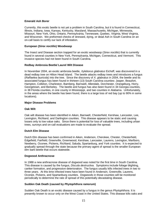## **Emerald Ash Borer**

Currently, this exotic beetle is not yet a problem in South Carolina, but it is found in Connecticut, Illinois, Indiana, Iowa, Kansas, Kentucky, Maryland, Massachusetts, Michigan, Minnesota, Missouri, New York, Ohio, Ontario, Pennsylvania, Tennessee, Quebec, Virginia, West Virginia, and Wisconsin. We preformed checks of stressed, dying, or dead Ash in South Carolina on an on-call basis to certify our lack of infestation.

#### **European (***Sirex noctilio***) Woodwasp**

The Insect and Disease section trapped for an exotic woodwasp (*Sirex noctilio*) that is currently found in several counties in New York, Pennsylvania, Michigan, Connecticut, and Vermont. This invasive species had not been found in South Carolina.

## **Redbay Ambrosia Beetle/ Laurel Wilt Disease**

In November 2004, an exotic ambrosia beetle, *Xyleborus glabratus* Eichoff, was discovered in a dead redbay tree on Hilton Head Island. The beetle attacks redbay trees and introduces a fungus (*Raffaelea lauricola*) into the tree. Since the discovery of *X. glabratus* in 2004, the beetle and its associated fungus has been found in thirteen (13) South Carolina counties: Jasper, Beaufort, Hampton, Colleton, Charleston, Bamberg, Barnwell, Allendale, Dorchester, Orangeburg, Horry, Georgetown, and Berkeley. The beetle and fungus has also been found in 34 Georgia counties, in 38 Florida counties, in one county in Mississippi, and two counties in Alabama. Unfortunately, in the areas where the beetle has been found, there is a large loss of red bay (up to 90% in some locations).

## **Major Disease Problems**

#### **Oak Wilt**

Oak wilt disease has been identified in Aiken, Barnwell, Chesterfield, Kershaw, Lancaster, Lee, Lexington, Richland, and Darlington counties. This disease appears to be static and causing losses only to low value oaks. Since there is potential for loss of valuable trees, including urban trees, surveys and on-call evaluations are made to evaluate the spread.

#### **Dutch Elm Disease**

Dutch Elm disease has been confirmed in Aiken, Anderson, Cherokee, Chester, Chesterfield, Edgefield, Fairfield, Greenville, Greenwood, Kershaw, Lancaster, Laurens, Lexington, Marlboro, Newberry, Oconee, Pickens, Richland, Saluda, Spartanburg, and York counties. It is expected to gradually spread through the state because the primary agent of spread is the smaller European elm bark beetle that occurs statewide.

#### **Dogwood Anthracnose**

In 1988 a new anthracnose disease of dogwood was noted for the first time in South Carolina. This disease is caused by the fungus, *Discula destructiva*. Symptoms include foliage blighting, canker formation, and progressive deterioration. The fungus usually kills infected trees in two to three years. At this time infected trees have been found in Anderson, Greenville, Laurens, Oconee, Pickens, and Spartanburg counties. Dogwoods in those counties will be monitored periodically to determine the rate of spread of this potentially devastating disease.

## **Sudden Oak Death (caused by** *Phytophthora ramorum***)**

Sudden Oak Death is an exotic disease caused by a fungus in the genus *Phytophthora*. It is presently known to occur only on the West Coast in the United States. This disease kills oaks and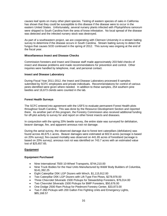causes leaf spots on many other plant species. Testing of eastern species of oaks in California has shown that they could be susceptible to this disease if the disease were to occur in the eastern United States. Unfortunately, several nursery plants infected with *Phytophthora ramorum* were shipped to South Carolina from the area of know infestation. No local spread of the disease was detected and the infected nursery stock was destroyed.

As part of a southeastern project, we are cooperating with Clemson University in a stream baiting survey to determine if the disease occurs in South Carolina. Stream baiting survey to detect the fungus that causes SOD continued in the spring of 2012. This survey was ongoing at the end of the fiscal year.

#### **Miscellaneous Insect and Disease Checks**

Commission foresters and Insect and Disease staff made approximately 203 field checks of insect and disease problems and made recommendations for prevention and control. Other inquiries were handled by telephone, mail, and personal contact.

## **Insect and Disease Laboratory**

During Fiscal Year 2011-2012, the Insect and Disease Laboratory processed 8 samples submitted by SCFC employees and private individuals. Recommendations for control of various pests identified were given where needed. In addition to these samples, 254 southern pine beetles and 16,673 clerids were counted in the lab.

## **Forest Health Surveys**

The SCFC entered into agreement with the USFS to evaluate permanent Forest Health plots throughout South Carolina. This was done by the Resource Development Section and reported there. As another part of this program, the Forestry Commission also received additional funding for off-plot activity to survey for and report on other forest insects and diseases.

In conjunction with the spring 20% beetle survey, the entire state was surveyed for defoliation, beaver damage, fire, and apparent annosus root rot damage.

During the aerial survey, the observed damage due to forest tent caterpillars (defoliators) was found across 46,675.1 acres. Beaver damages were estimated at 602.8 acres (acreage is based on 20% survey); fire-caused mortality was observed on 441.65 acres of forestland (acreage is based on 20% survey); annosus root rot was identified on 743.7 acres with an estimated value lost of \$25,657.65.

## **Equipment**

#### **Equipment Purchased**

- Nine International 7500 10-Wheel Transports, \$744,210.00
- Nine Truck Bodies for the Haul Units Manufactured by W&W Body Builders of Columbia, \$141,392.25
- Eight Caterpillar D5K LGP Dozers with Winch, \$1,115,912.00
- Two Caterpillar D5K LGP Dozers with Lift-Type Fire Plows, \$278,978.00
- Three Chevrolet Silverado 1500 Pickups for Stewardship Foresters, \$76,014.00
- Two Chevrolet Silverado 1500 Pickups for BMP Foresters, \$50,676.00
- One Dodge 2500 Ram Pickup for Piedmont Forestry Center, \$33,873.00
- Two F-350 Pickups with 200 Gallon Fire Fighting Units and Emergency Lights, \$85,168.57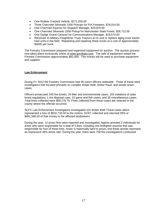- One Rubber-Tracked Vehicle, \$171,200.00
- Three Chevrolet Silverado 1500 Pickups for FIA Foresters, \$76,014.00
- One Chevrolet Equinox for Dispatch Manager, \$19,870.00
- One Chevrolet Silverado 1500 Pickup for Manchester State Forest, \$26,712.00
- One Dodge Grand Caravan for Communications Manager, \$19,574.00
- Received 10 Military Freightliner Truck Tractors at no cost to replace aging truck tractor haul units in the field. Repainting and repairing these trucks at a cost of approximately \$4000 per truck.

The Forestry Commission prepared and organized equipment for auction. The auction process now takes place exclusively online at [www.govdeals.com.](http://www.govdeals.com/) The sale of equipment netted the Forestry Commission approximately \$82,000. This money will be used to purchase equipment and supplies.

## **Law Enforcement**

During FY 2012 the Forestry Commission had 35 sworn officers statewide. Three of these were investigators that focused primarily on complex timber theft, timber fraud, and woods arson cases.

Officers prosecuted 245 fire tickets, 24 litter and environmental cases, 103 violations of state forest regulations, 1 tire disposal case, 23 game and fish cases, and 35 miscellaneous cases. Total fines collected were \$59,178.75. Fines collected from these cases are retained in the county where the offense occurred.

SCFC Law Enforcement Investigators investigated 101 timber theft / fraud cases which represented a loss of \$632,733.03 to the victims. SCFC collected and returned 55% or \$491,568.00 of that money to the affected landowners.

During the year, 12 arson fires were reported and investigated. Agents arrested 2 individuals for arson who were responsible for a total of 5 fires, including one firefighter arsonist that was responsible for four of these fires. Arson is historically hard to prove, and these arrests represent an impressive 46% arrest rate. During the year, there were 758 fire investigations conducted.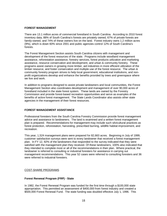#### **FOREST MANAGEMENT**

There are 13.1 million acres of commercial forestland in South Carolina. According to 2010 forest inventory data, 88% of South Carolina's forests are privately owned, 67% of private forests are family-owned, and 74% of these owners live on the land. Forest industry owns 1.2 million acres (9%), which is down 60% since 2001 and public agencies control 12% of South Carolina's forests.

The Forest Management Section assists South Carolina citizens with management and development of the forest resources of the state. Programs include woodland management assistance, reforestation assistance, forestry services, forest products utilization and marketing assistance, resource conservation and development, and urban & community forestry. These programs assist owners in growing more timber, aid industries in more efficient utilization of the timber resource, and foster conservation and multiple use of the forest resource. The urban & community forestry program strives to help local government, educational institutions, and nonprofit organizations develop and enhance the benefits provided by trees and greenspace where we live and work.

In addition to programs designed to assist private landowners and local communities, the Forest Management Section also coordinates development and management of over 90,000 acres of forestland included in the state forest system. These lands are owned by the Forestry Commission and provide forest-based recreation opportunities and serve as examples of the benefits of active forest management. The State Lands Coordinator also assists other state agencies in the management of their forest resources.

## **FOREST MANAGEMENT ASSISTANCE**

Professional foresters from the South Carolina Forestry Commission provide forest management advice and assistance to landowners. The land is examined and a written forest management plan is prepared. Recommendations for management may include such silvicultural practices as forest protection, reforestation, harvesting, prescribed burning, wildlife habitat improvement, and recreation.

This year, 1,524 management plans were prepared for 82,663 acres. Beginning in July of 1999, customer satisfaction surveys were sent to every landowner that received a forest management plan. In FY 12, 92% of the landowners that responded to the survey indicated that they were satisfied with the management plan they received. Of these landowners, 100% also indicated that they intended to complete most or all of the recommendations in their plan.Where practical, the landowner is referred to consulting or industrial foresters for assistance in carrying out management recommendations. This year 52 cases were referred to consulting foresters and 36 were referred to industrial foresters.

## COST-SHARE PROGRAMS

## **Forest Renewal Program (FRP) - State**

In 1982, the Forest Renewal Program was funded for the first time through a \$100,000 state appropriation. This permitted an assessment of \$400,000 from forest industry and created a \$500,000 Forest Renewal Fund. The state funding was doubled effective July 1, 1996. This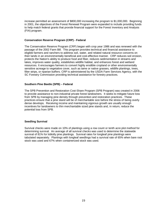increase permitted an assessment of \$800,000 increasing the program to \$1,000,000. Beginning in 2001, the objectives of the Forest Renewal Program were expanded to include providing funds to help match federal grants that provide financial support for the Forest Inventory and Analysis (FIA) program.

#### **Conservation Reserve Program (CRP) - Federal**

The Conservation Reserve Program (CRP) began with crop year 1986 and was renewed with the passage of the 2002 Farm Bill. This program provides technical and financial assistance to eligible farmers and ranchers to address soil, water, and related natural resource concerns on their lands in an environmentally beneficial and cost-effective manner. CRP reduces soil erosion, protects the Nation's ability to produce food and fiber, reduces sedimentation in streams and lakes, improves water quality, establishes wildlife habitat, and enhances forest and wetland resources. It encourages farmers to convert highly erodible cropland or other environmentally sensitive acreage to vegetative cover, such as tame or native grasses, wildlife plantings, trees, filter strips, or riparian buffers. CRP is administered by the USDA Farm Services Agency, with the SC Forestry Commission providing technical assistance for forestry practices.

## **Southern Pine Beetle (SPB) – Federal**

The SPB Prevention and Restoration Cost-Share Program (SPB Program) was created in 2006 to provide assistance to non-industrial private forest landowners. It seeks to mitigate future loss from SPB by managing pine density through prevention and restoration practices. These practices ensure that a pine stand will be of merchantable size before the stress of being overly dense develops. Receiving income and maintaining vigorous growth are usually enough incentives for landowners to thin merchantable sized pine stands and, in return, reduce the potential loss from SPB.

#### **Seedling Survival**

Survival checks were made on 10% of plantings using a row count or tenth acre plot method for determining survival. An average of all survival checks was used to determine the statewide survival of 81% for loblolly pine plantings. Survival rates for longleaf pine plantings were tabulated separately. Plantings with longleaf seedlings had a survival rate of 65% when bare root stock was used and 67% when containerized stock was used.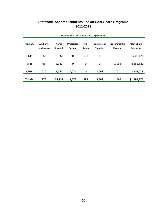# **Statewide Accomplishments For All Cost-Share Programs 2011-2012**

| Program       | Number of  | <b>Acres</b>   | <b>Prescribed</b> | TSI         | Commercial      | <b>Precommercial</b> | <b>Cost Share</b> |
|---------------|------------|----------------|-------------------|-------------|-----------------|----------------------|-------------------|
|               | Landowners | <b>Planted</b> | <b>Burning</b>    | Acres       | <b>Thinning</b> | <b>Thinning</b>      | <b>Payments</b>   |
|               |            |                |                   |             |                 |                      |                   |
| <b>FRP</b>    | 358        | 11,056         | 0                 | 598         | $\mathbf 0$     | 0                    | \$905,121         |
|               |            |                |                   |             |                 |                      |                   |
| <b>SPB</b>    | 98         | 3,337          | 0                 | 0           | 0               | 1,065                | \$381,637         |
|               |            |                |                   |             |                 |                      |                   |
| <b>CRP</b>    | 519        | 1,546          | 1,571             | $\mathbf 0$ | 3,663           | 0                    | \$408,013         |
|               |            |                |                   |             |                 |                      |                   |
| <b>Totals</b> | 975        | 15,939         | 1,571             | 598         | 3,663           | 1,065                | \$1,694,771       |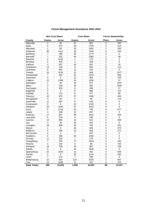|                      |                         | <b>Non Cost-Share</b> |                         | <b>Cost-Share</b> | <b>Forest Stewardship</b> |                 |  |  |  |  |
|----------------------|-------------------------|-----------------------|-------------------------|-------------------|---------------------------|-----------------|--|--|--|--|
| County               | <b>Exams</b>            | Acres                 | <b>Exams</b>            | Acres             | <b>Plans</b>              | Acres           |  |  |  |  |
| Abbeville            | 2                       | 93                    | 21                      | 862               | 5                         | 394             |  |  |  |  |
| Aiken                | 5                       | 373                   | 34                      | 1726              | $\overline{2}$            | 419             |  |  |  |  |
| Allendale            | 1                       | 60                    | 32                      | 1561              | 1                         | 293             |  |  |  |  |
| Anderson             | 30                      | 1411                  | 29                      | 1320              | 4                         | 243             |  |  |  |  |
| Bamberg              | 7                       | 188                   | 45                      | 1773              | 0                         | 0               |  |  |  |  |
| Barnwell             | $\overline{7}$          | 220                   | 46                      | 2580              | 1                         | 58              |  |  |  |  |
| <b>Beaufort</b>      | 4                       | 1224                  | 1                       | 175               | 0                         | 0               |  |  |  |  |
| Berkeley             | 6                       | 430                   | $\overline{\mathbf{4}}$ | 338               | 0                         | $\mathbf 0$     |  |  |  |  |
| Calhoun              | $\overline{\mathbf{3}}$ | 357                   | 16                      | 587               | 1                         | $\overline{32}$ |  |  |  |  |
| Charleston           | 13                      | 228                   | 8                       | 509               | 6                         | 113             |  |  |  |  |
| Cherokee             | 8                       | 404                   | 12                      | 191               | 0                         | 0               |  |  |  |  |
| Chester              | 16                      | 1515                  | 12                      | 648               | 6                         | 1677            |  |  |  |  |
| Chesterfield         | 7                       | 253                   | 51                      | 1876              | $\overline{c}$            | 836             |  |  |  |  |
| Clarendon            | $\overline{0}$          | 0                     | 12                      | 365               | $\overline{2}$            | 156             |  |  |  |  |
| Colleton             | 15                      | 1338                  | 42                      | 1350              | 1                         | 47              |  |  |  |  |
| Darlington           | $\mathbf{1}$            | 40                    | 19                      | 971               | $\mathbf{1}$              | 1337            |  |  |  |  |
| Dillon               | $\overline{3}$          | 100                   | 15                      | 581               | $\overline{2}$            | 1294            |  |  |  |  |
| Dorchester           | 5                       | 323                   | 6                       | 299               | $\mathbf{1}$              | 27              |  |  |  |  |
| Edgefield            | $\overline{0}$          | $\mathbf 0$           | 17                      | 966               | $\overline{2}$            | 112             |  |  |  |  |
| Fairfield            | 6                       | 712                   | 8                       | 477               | 1                         | 95              |  |  |  |  |
| Florence             | 10                      | 673                   | 37                      | 1366              | 4                         | 424             |  |  |  |  |
| Georgetown           | 3                       | 65                    | 3                       | 56                | $\mathbf{1}$              | 174             |  |  |  |  |
| Greenville           | 11                      | 387                   | $\bf 8$                 | 146               | 0                         | $\mathbf 0$     |  |  |  |  |
| Greenwood            | $\mathbf 0$             | 0                     | 22                      | 1145              | 0                         | $\mathbf 0$     |  |  |  |  |
| Hampton              | 15                      | 1646                  | 37                      | 2416              | 0                         | 0               |  |  |  |  |
| Horry                | 5                       | 1116                  | 24                      | 705               | 6                         | 677             |  |  |  |  |
| Jasper               | 4                       | 168                   | 12                      | 847               | 0                         | 0               |  |  |  |  |
| Kershaw              | 17                      | 967                   | 38                      | 1641              | $\overline{5}$            | 426             |  |  |  |  |
| Lancaster            | 6                       | 219                   | 9                       | 236               | 0                         | 0               |  |  |  |  |
| Laurens              | 13                      | 962                   | 10                      | 514               | $\overline{2}$            | 309             |  |  |  |  |
| Lee                  | 3                       | 78                    | 26                      | 976               | 0                         | 0               |  |  |  |  |
| Lexington            | 18                      | 865                   | 23                      | 784               | $\overline{2}$            | 251             |  |  |  |  |
| Marion               | 1                       | 4                     | 20                      | 639               | 3                         | 570             |  |  |  |  |
| Marlboro             | 5                       | 283                   | 13                      | 818               | 1                         | 371             |  |  |  |  |
| <b>McCormick</b>     | $\mathbf 0$             | 0                     | $\overline{7}$          | 287               | 0                         | $\mathbf 0$     |  |  |  |  |
| Newberry             | 6                       | 508                   | 40                      | 1303              | 0                         | $\Omega$        |  |  |  |  |
| Oconee               | 11                      | 432                   | $\overline{7}$          | 178               | 0                         | $\Omega$        |  |  |  |  |
| Orangeburg           | $\overline{7}$          | 325                   | $\overline{72}$         | 2918              | 4                         | 432             |  |  |  |  |
| Pickens              | 4                       | 155                   | 3                       | 86                | 5                         | 745             |  |  |  |  |
| Richland             | 19                      | 708                   | 16                      | 887               | 3                         | 758             |  |  |  |  |
| Saluda               | $\mathbf 0$<br>0<br>25  |                       | 1036                    | 0                 | $\mathbf 0$               |                 |  |  |  |  |
| Spartanburg          | 32<br>1833<br>391<br>13 |                       |                         | 4                 | 558                       |                 |  |  |  |  |
| Sumter               | 0                       | 0                     | 26                      | 1142              | 6                         | 532             |  |  |  |  |
| Union                | $\overline{7}$          | 372                   | $\overline{7}$          | 299               | 0                         | 0               |  |  |  |  |
| Williamsburg         | 15                      | 925                   | 120                     | 4205              | 2                         | 907             |  |  |  |  |
| York                 | 15                      | 1096                  | 11                      | 422               | 3                         | 270             |  |  |  |  |
| <b>State Totals:</b> | 366                     | 23,055                | 1,059                   | 44,597            | 89                        | 14,537          |  |  |  |  |

## *Forest Management Assistance 2011-2012*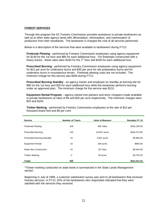#### **FOREST SERVICES**

Through this program the SC Forestry Commission provides assistance to private landowners as well as to other state agency lands with afforestation, reforestation, and maximization of production from their woodlands. The landowner is charged the cost of all services performed.

Below is a description of the services that were available to landowners during FY12:

**Firebreak Plowing** - performed by Forestry Commission employees using agency equipment for \$140 for the 1st hour and \$85 for each additional hour. For firebreaks constructed with a heavy tractor, these rates were \$160 for the  $1<sup>st</sup>$  hour and \$100 for each additional hour.

**Prescribed Burning** - performed by Forestry Commission employees using agency equipment for \$21 per acre for understory burns and \$30 per acre for site preparation burns and for understory burns in mountainous terrain. Firebreak plowing costs are not included. The minimum charge for this service was \$400 during FY12.

**Prescribed Burning Standby** - an agency tractor and employee on standby at burning site for \$80 for the 1st hour and \$30 for each additional hour while the landowner performs burning under an approved plan. The minimum charge for this service was \$110.

**Equipment Rental Program** – agency-owned tree planters and drum choppers made available to private landowners at rates of \$5 and \$20 per acre respectively. The minimum charges were \$25 and \$100.

**Timber Marking** - performed by Forestry Commission employees at the rate of \$10 per thousand board feet and \$5 per cord.

| <b>Service</b>                    | <b>Number of Tracts</b> | <b>Units of Measure</b> | <b>Receipts FY 12</b> |
|-----------------------------------|-------------------------|-------------------------|-----------------------|
| <b>Firebreak Plowing</b>          | 418                     | 895 miles               | \$160,195.00          |
| <b>Prescribed Burning</b>         | 143                     | 16,847 acres            | \$364,573.00          |
| <b>Prescribed Burning Standby</b> | 23                      | 2.841 acres             | \$5,985.00            |
| <b>Equipment Rental</b>           | 10                      | 168 acres               | \$865.00              |
| Water Bar Construction            | 10                      | 327 bars                | \$5,640.00            |
| <b>Timber Marking</b>             | $1^*$                   | 30 acres                | \$3,755.33            |
| <b>Totals</b>                     | 605                     |                         | \$541,013.33          |
|                                   |                         |                         |                       |

\*Timber marking conducted on state lands is summarized in the State Lands Management section

Beginning in July of 1999, a customer satisfaction survey was sent to all landowners that received forestry services. In FY12, 92% of the landowners who responded indicated that they were satisfied with the services they received.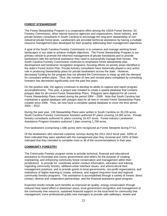#### **FOREST STEWARDSHIP**

The Forest Stewardship Program is a cooperative effort among the USDA Forest Service, SC Forestry Commission, other natural resource agencies and organizations, forest industry, and private forestry consultants in South Carolina to encourage the long-term stewardship of nonindustrial private forest lands. Landowners are provided technical assistance by having a multiple resource management plan developed for their property addressing their management objectives.

A goal of the South Carolina Forestry Commission is to conserve and manage working forest landscapes in our state to achieve multiple objectives. The Forest Stewardship Program is our primary vehicle to promote the informed management of private forestlands and to provide landowners with the technical assistance they need to successfully manage their forests. The South Carolina Forestry Commission continues to emphasize forest stewardship plan development and landowner recognition programs, focusing efforts on priority areas identified in the state's Forest Action Plan. Private forestry consultants have historically played a very active role in producing Stewardship plans for private landowners across the state. However, decreased funding for the program has not allowed the Commission to keep up with the demand for consultant written plans. Thus, the number of new and revised plans completed by consulting foresters has decreased significantly over the past few years.

On the positive side, the agency continues to develop its ability to capture and report program accomplishments. This year, a project was initiated to create a spatial database that contains polygon data for all current Forest Stewardship Plans. Polygons were digitized for all current Forest Stewardship Plans created during the period 2004 – 2008. Note that South Carolina has maintained a spatial database with polygon data for all new or revised Forest Stewardship Plans created since 2008. Thus, we now have a complete spatial database to cover the time period 2004 – 2012.

During the past year, 139 Stewardship Plans were written in South Carolina on 35,228 acres. South Carolina Forestry Commission foresters authored 87 plans covering 14,083 acres. Private forestry consultants authored 51 plans covering 19,437 acres. Forest industry Landowner Assistance Program foresters authored 1 plan covering 1,708 acres.

Five landowners (comprising 1,586 acres) were recognized as Forest Stewards during FY12.

Of the landowners who returned customer surveys during the 2011-2012 fiscal year, 100% of them indicated they were satisfied with the management plan they received and 100% of them indicated that they intended to complete most or all of the recommendations in their plan.

## **COMMUNITY FORESTRY**

The Community Forestry program exists to provide technical, financial and educational assistance to municipal and county governments and others for the purpose of creating, maintaining, and enhancing community forest conservation and management within their jurisdictions; to provide for, coordinate and/or conduct information, education and training regarding community forestry, wildland-urban interface issues, and arboricultural best management practices; and to provide grants to local governments, non-profit organizations, and institutions of higher learning to create, enhance, and support long-term local and regional community forestry programs. This assistance is accomplished through a variety of means: direct contact, diverse and cooperative partnerships, and the financial assistance grant program.

Expected results include such benefits as improved air quality; energy conservation through reduced heat island effect in downtown areas; local government recognition and management of the community tree resource; sustained financial support on the local level for community tree management; more professional public tree managers to provide safe walkways, streets and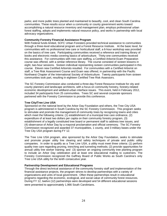parks; and more public trees planted and maintained to beautify, cool, and clean South Carolina communities. These results occur when a community or county government works toward accomplishing a natural resource inventory and management plan, employs professional urban forest staffing, adopts and implements natural resource policy, and works in partnership with local advocacy organizations.

#### **Community Forestry Financial Assistance Program**

With Federal funds limited, SCFC Urban Foresters provided technical assistance to communities through a three-level educational program and a Forest Resource Institute. At the basic level, for communities with no professional tree care or horticultural staff, a 6-hour workshop was provided on the basics of tree care. Participating communities received a reference and training library of books and electronic media covering basics of arboriculture. Thirty-one communities received this assistance. For communities with tree care staffing, a Certified Arborist Exam Preparation course was offered, with a similar reference library. The course consisted of sixteen lessons in eight, two-hour sessions. Sixteen individual representing sixteen communities participated in this course. Eleven new Certified Arborists resulted. For communities with a Certified Arborist on staff, a Tree Risk Assessment Course and Exam was offered, in partnership with the Pacific Northwest Chapter of the International Society of Arboriculture. Twenty participants from sixteen communities took part, resulting in eighteen Certified Tree Risk Assessors.

The SC Forestry Commission also conducted a three-day Forest Resource Institute for city and county planners and landscape architects, with a focus on community forestry, forestry-related economic development and wildland-urban interface issues. This event, held in February 2012, included 34 participants from 25 communities. Trees SC and several corporate sponsors partnered with the Forestry Commission to provide this conference.

#### **Tree City/Tree Line USA**

Sponsored on the national level by the Arbor Day Foundation and others, the Tree City USA program is administered in South Carolina by the SC Forestry Commission. This program seeks to stimulate and promote the management of community trees by recognizing towns and cities which meet the following criteria: (1) establishment of a municipal tree care ordinance, (2) expenditure of at least two dollars per capita on their community forestry program, (3) establishment of a legally constituted tree board or permanent staff to address tree issues, and (4) observance of Arbor Day by a mayoral proclamation and official ceremony. The SC Forestry Commission recognized and awarded 37 municipalities, 1 county, and 3 military bases under the Tree City USA program during FY 12.

The Tree Line USA program, also sponsored by the Arbor Day Foundation, seeks to stimulate and promote proper utility line clearing and safety techniques of private and public utility companies. In order to qualify as a Tree Line USA, a utility must meet three criteria: (1) perform quality tree care regarding pruning, trenching and tunneling methods; (2) provide opportunities for annual utility line worker training; and (3) sponsor an ongoing community tree planting program to include an Arbor Day celebration and at least one educational mailing to customers. The Forestry Commission recognized the Gaffney Board of Public Works as South Carolina's only Tree Line USA utility for the tenth consecutive year.

#### **Partnership Development and Educational Programs**

Through the direct technical assistance of the community forestry staff and implementation of the financial assistance projects, the program strives to develop partnerships with a variety of organizations and units of local government. Often these partnerships result in educational programs regarding the economic, ecological, and social value of community forest resources. During FY 12, twelve (12) partnerships were developed and 54 different educational sessions were presented to approximately 1,966 South Carolinians.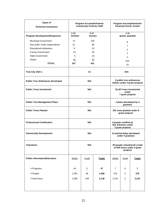| <b>Types of</b><br><b>Technical Assistance</b>           | <b>Program Accomplishments</b><br><b>Community Forestry Staff</b> |       | <b>Program Accomplishments</b><br><b>Financial Assist, Grants</b>       |                                                            |       |                |
|----------------------------------------------------------|-------------------------------------------------------------------|-------|-------------------------------------------------------------------------|------------------------------------------------------------|-------|----------------|
| Program Development/Expansion                            | # of<br># of<br><b>Entities</b><br><b>Assists</b>                 |       | # of<br>grants awarded                                                  |                                                            |       |                |
|                                                          | 74                                                                | 229   |                                                                         |                                                            |       |                |
| Municipal Government<br>Non-profit / trade organizations | 21                                                                |       | 86                                                                      | 8                                                          |       |                |
| <b>Educational Institutions</b>                          | 9                                                                 |       | 20                                                                      |                                                            | 7     |                |
| <b>County Government</b>                                 | 15                                                                |       | 35                                                                      |                                                            | 0     |                |
| <b>State Government</b>                                  | 6                                                                 |       | 19                                                                      | $\overline{2}$                                             |       |                |
| Others                                                   | 42                                                                |       | 42                                                                      | $\overline{2}$                                             |       |                |
| <b>TOTAL</b>                                             | 167                                                               | 431   |                                                                         |                                                            | N/A   |                |
|                                                          |                                                                   |       |                                                                         | 19                                                         |       |                |
| <b>Tree City USA's</b>                                   |                                                                   | 41    |                                                                         | N/A                                                        |       |                |
| <b>Public Tree Ordinances Developed</b>                  |                                                                   | N/A   |                                                                         | 2 public tree ordinances<br>written under 2 grant projects |       |                |
| <b>Public Trees Inventoried</b>                          | N/A                                                               |       | 15,167 trees inventoried<br>under<br>7 grant projects                   |                                                            |       |                |
| <b>Public Tree Management Plans</b>                      | N/A                                                               |       | 4 plans developed by 4<br>grantees                                      |                                                            |       |                |
| <b>Public Trees Planted</b>                              | N/A                                                               |       |                                                                         | 251 trees planted under 8<br>grant projects                |       |                |
| <b>Professional Certification</b>                        | N/A                                                               |       | 4 people certified as<br><b>ISA Arborists under</b><br>2 grant projects |                                                            |       |                |
| <b>Partnership Development</b>                           | N/A                                                               |       | 12 partnerships developed<br>under 5 grantees                           |                                                            |       |                |
| <b>Volunteers</b>                                        | N/A                                                               |       | 20 people volunteered a total<br>of 930 hours under 5 grant<br>projects |                                                            |       |                |
| <b>Public Information/Education</b>                      | <b>Adults</b>                                                     | Youth | <b>Totals</b>                                                           | <b>Adults</b>                                              | Youth | <b>Totals</b>  |
| # Programs                                               | 44                                                                | 3     | 47                                                                      | $\overline{7}$                                             | 0     | $\overline{7}$ |
| # People                                                 | 1,492                                                             | 96    | 1,588                                                                   | 378                                                        | 0     | 378            |
| # Seat hours                                             | 1,980                                                             | 158   | 2,138                                                                   | 3,210                                                      | 0     | 3,210          |
|                                                          |                                                                   |       |                                                                         |                                                            |       |                |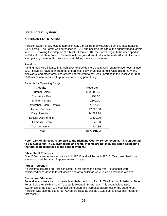## **State Forest System:**

## **HARBISON STATE FOREST**

Harbison State Forest, located approximately 9 miles from downtown Columbia, encompasses 2,176 acres. The Forest was purchased in 1945 and became the site of the agency headquarters in 1963. Following the adoption of a Master Plan in 1981, the Forest began to be developed as an Educational State Forest. Recreational use grew dramatically in the early 90's with Harbison soon gaining the reputation as a mountain biking mecca for the area.

#### **Receipts**

Parking fees were initiated in March 2004 to provide more equity with regard to user fees. Since 1997, bicyclists have been required to purchase daily or annual permits while hikers, runners, picnickers, and other forest users were not required to pay fees. Starting in the fiscal year 2009- 2010 users were required to purchase a parking permit only.

#### Receipts for Operating Budget

| <b>Activity</b>            | <b>Receipts</b> |
|----------------------------|-----------------|
| <b>Timber Sales</b>        | \$98,500.00     |
| Burn Assist Fee            | 294.00          |
| <b>Shelter Rentals</b>     | 1.360.00        |
| Conference Room Rentals    | 7,314.00        |
| Annual Permits             | 47,625.00       |
| Daily Permits              | 14.682.74       |
| <b>Special Use Permits</b> | 1,400.00        |
| <b>Campsite Rental</b>     | 540.00          |
| <b>Trail Donations</b>     | 500.85          |
| Total                      | \$172,216.59    |

**Note: 25% of all receipts are paid to the Richland County School System. This amounted to \$40,688.68 for FY 12. (Donations and rental income are not included when calculating the total to be dispersed to the school system.)**

#### **Silvicultural Practices**

One 130-acre timber harvest was sold in FY 12 and will be cut in FY 13. One prescribed burn was conducted this year of approximately 14 acres.

#### **Forest Protection**

No wildfires occurred on Harbison State Forest during this fiscal year. Trees that were considered hazardous to forest visitors and/or to buildings were felled as workload allowed.

#### **Recreation/Education**

Several events were held on the trails at Harbison during FY 12. The Friends of Harbison State Forest held their sixth annual "Take a Kid Mountain Biking" day. This event helped raise awareness of the sport to a younger generation and increased awareness of the state forest. Harbison was also the site for an Adventure Race as well as a 12k, 50k, and two half-marathon foot races.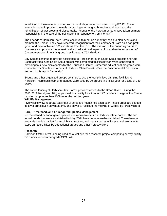In addition to these events, numerous trail work days were conducted during FY 12. These events included improving the trails by pruning overhanging branches and brush and the rehabilitation of wet areas and closed trails. Friends of the Forest members have taken on more responsibility in the care of the trail system in response to a smaller staff.

The Friends of Harbison State Forest continue to meet on a monthly basis to plan events and promote the Forest. They have received recognition from the Secretary of State as a non-profit group and have achieved 501(c)3 status from the IRS. The mission of the Friends group is to "preserve and promote the recreational and educational aspects of this urban forest resource." Current membership of this group is estimated at 75 individuals.

Boy Scouts continue to provide assistance to Harbison through Eagle Scout projects and Cub Scout activities. One Eagle Scout project was completed this fiscal year which consisted of providing four new picnic tables for the Education Center. Numerous educational programs were conducted for Scouts and others at Harbison State Forest. (See the Environmental Education section of this report for details.)

Scouts and other organized groups continue to use the four primitive camping facilities at Harbison. Harbison's camping facilities were used by 29 groups this fiscal year for a total of 749 users.

The canoe landing at Harbison State Forest provides access to the Broad River. During the 2011-2012 fiscal year, 89 groups used this facility for a total of 197 paddlers. Usage of the Canoe Landing is up more than 100% over the last two years.

#### **Wildlife Management**

Five wildlife viewing areas totaling  $2 \frac{1}{2}$  acres are maintained each year. These areas are planted in cover crops such as wheat, rye, and clover to facilitate the viewing of wildlife by forest visitors.

#### **Rare, Threatened, and Endangered Species Management**

No threatened or endangered species are known to occur on Harbison State Forest. The two vernal ponds that were established in May 2004 have become well-established. These ½-acre wetlands provide habitat for amphibians, reptiles, and many species of insects and are favorite stops on nature hikes by educational groups and other Forest visitors.

#### **Research**

Harbison State Forest is being used as a test site for a research project comparing survey quality GPS units to consumer grade GPS units.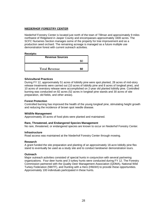## **NIEDERHOF FORESTRY CENTER**

Niederhof Forestry Center is located just north of the town of Tillman and approximately 9 miles northwest of Ridgeland in Jasper County and encompasses approximately 1600 acres. The SCFC Nurseries Section manages some of the property for tree improvement and as a production seed orchard. The remaining acreage is managed as a future multiple use demonstration forest with current outreach activities.

#### **Receipts:**

| <b>Revenue Sources</b> |  |
|------------------------|--|
|                        |  |
|                        |  |
| <b>Total Revenue</b>   |  |

#### **Silvicultural Practices**

During FY 12, approximately 51 acres of loblolly pine were spot planted, 28 acres of mid-story release treatments were carried out (10 acres of loblolly pine and 8 acres of longleaf pine), and 10 acres of overstory release were accomplished on 2-year old planted loblolly pine. Controlled burning was conducted on 82 acres (52 acres in longleaf pine stands and 30 acres of site preparation, old fields, and other areas).

#### **Forest Protection**

Controlled burning has improved the health of the young longleaf pine, stimulating height growth and reducing the incidence of brown spot needle disease.

#### **Wildlife Management**

Approximately 20 acres of food plots were planted and maintained.

#### **Rare, Threatened, and Endangered Species Management**

No rare, threatened, or endangered species are known to occur on Niederhof Forestry Center.

#### **Infrastructure**

Road access was maintained at the Niederhof Forestry Center through mowing.

#### **Research**

A grant funded the site preparation and planting of an approximately 18-acre loblolly pine flex stand to eventually be used as a study site and to conduct landowner demonstration tours.

#### **Outreach**

Major outreach activities consisted of special hunts in conjunction with several partnering organizations. Four deer hunts and 3 turkey hunts were conducted during FY 12. The Forestry Commission partnered with the Quality Deer Management Association (QDMA), National Wild Turkey Federation (NWTF), and Hunting with a Hero (HWAH) to provide these opportunities. Approximately 100 individuals participated in these hunts.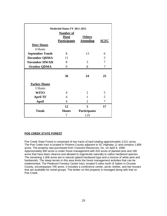| <b>Niederhof Hunts FY 2011-2012</b> |                                    |                                   |             |  |
|-------------------------------------|------------------------------------|-----------------------------------|-------------|--|
| <b>Number of</b>                    |                                    |                                   |             |  |
|                                     | <b>Hunt</b><br><b>Participants</b> | <b>Others</b><br><b>Attending</b> | <b>SCFC</b> |  |
| Deer Hunts                          |                                    |                                   |             |  |
| 4 Hunts                             |                                    |                                   |             |  |
| <b>September Youth</b>              | 8                                  | 13                                | 6           |  |
| <b>December QDMA</b>                | 11                                 |                                   | 5           |  |
| <b>November HWAH</b>                | 8                                  | 3                                 | 7           |  |
| <b>October QDMA</b>                 | 9                                  | 8                                 | 7           |  |
|                                     |                                    |                                   |             |  |
|                                     | 36                                 | 24                                | 25          |  |
| <b>Turkey Hunts</b>                 |                                    |                                   |             |  |
| 3 Hunts                             |                                    |                                   |             |  |
| <b>WITO</b>                         | 4                                  | $\overline{2}$                    | 5           |  |
| <b>April TF</b>                     | 4                                  | 1                                 | 5           |  |
| April                               | 4                                  | $\overline{2}$                    | 7           |  |
|                                     | 12                                 | 5                                 | 17          |  |
| <b>Totals</b>                       | <b>Hunts</b>                       | <b>Participants</b>               |             |  |
|                                     | 7                                  | 119                               |             |  |

## **POE CREEK STATE FOREST**

Poe Creek State Forest is composed of two tracts of land totaling approximately 2,511 acres. The Poe Creek tract is located in Pickens County adjacent to SC Highway 11 and contains 1,806 acres. The property was purchased from Crescent Resources, Inc. on April 6, 1999. Approximately 800 acres is under forest management with 610 acres of planted pine and 190 acres that have been clearcut and allowed to regenerate naturally to native hardwood species. The remaining 1,006 acres are in natural upland hardwood type and a mixture of white pine and hardwoods. The steep terrain in this area limits the forest management activities that can be implemented. The Piedmont Forestry Center tract, located 5 miles north of Salem in Oconee County, encompasses 705 acres. It includes a conference center, picnic shelter, and two houses that are available for rental groups. The timber on this property is managed along with that on Poe Creek.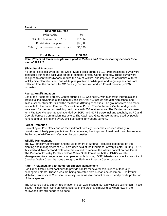| <b>Receipts:</b> |
|------------------|
|------------------|

| <b>Revenue Sources</b>            |           |  |
|-----------------------------------|-----------|--|
| Timber Sales                      | $\$0$     |  |
| Wildlife Management Area          | \$17,852  |  |
| Rental state property             | \$85,000  |  |
| Cabin / conference center rentals | \$6,130   |  |
| <b>Total Revenue</b>              | \$108,982 |  |

*Note: 25% of all forest receipts were paid to Pickens and Oconee County Schools for a total of \$25,713*

#### **Silvicultural Practices**

No timber sales occurred on Poe Creek State Forest during FY 12. Two prescribed burns were conducted during the past year on the Piedmont Forestry Center property. These burns were designed to control hardwoods, reduce the risk of wildfire, and improve the aesthetics of three loblolly pine plantations and one white pine plantation. White pine and Virginia pine cones are collected from the orchards for SC Forestry Commission and NC Forest Service (NCFS) nurseries.

#### **Recreational/Education**

Use of the Piedmont Forestry Center during FY 12 was heavy, with numerous individuals and groups taking advantage of this beautiful facility. Over 400 scouts and 350 high school and middle school students utilized the facilities in differing capacities. The grounds were also made available for the Salem Fire and Rescue Annual Picnic. The Conference Center and grounds were used for the second wedding held there with 250 in attendance. The Center was also used for a Fire Law Violation School attended by SCFC and NCFS personnel and taught by SCFC and Georgia Forestry Commission instructors. The Cabin and Gate House are also used by people hunting and/or fishing and by SC DNR personnel for various surveys.

#### **Forest Protection**

Harvesting on Poe Creek and on the Piedmont Forestry Center has reduced density in overstocked loblolly pine plantations. This harvesting has improved forest health and has reduced the hazard of wildfire and infestation by bark beetles.

#### **Wildlife Management**

The SC Forestry Commission and the Department of Natural Resources cooperate on the planting and management of a 40-acre dove field at the Piedmont Forestry Center. During FY 12, this field and 14 other food plots were maintained to improve the wildlife habitat on Poe Creek. The Piedmont Forestry Center and Poe Creek State Forest are both in DNR's Wildlife Management Area program and are open to public hunting. DNR fisheries also stocks one mile of Cheohee Valley Creek that runs through the Piedmont Forestry Center property.

#### **Rare, Threatened, and Endangered Species Management**

Poe Creek State Forest continues to provide habitat for several populations of federally endangered plants. These areas are being protected from human encroachment. Dr. Patrick McMillan, professor at Clemson University, continues to conduct research and provide protection of these species.

The Cheohee Valley stream reclamation project was finished, but a few issues still remain. These issues include repair work on two structures in the creek and mowing between rows in the hardwoods that still needs to be done.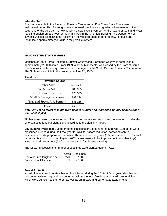#### **Infrastructure**

Road access at both the Piedmont Forestry Center and at Poe Creek State Forest was maintained during FY 12 through mowing of road shoulders and grading where needed. The south end of the pole barn is now housing a new Type 6 Pumper. A Fire Cache of tools and water handling equipment are kept for mountain fires in the Chemical Building. The Department of Juvenile Justice still utilizes the facility, on the western edge of the property, to house and rehabilitate approximately 35 girls in the juvenile system.

## **MANCHESTER STATE FOREST**

Manchester State Forest, located in Sumter County and Clarendon County, is comprised of approximately 29,070 acres. From 1939 to 1955, Manchester was leased by the State of South Carolina from the federal government and managed by the South Carolina Forestry Commission. The State received title to the property on June 28, 1955.

#### **Receipts:**

| <b>Revenue Source</b>         |           |  |
|-------------------------------|-----------|--|
| Timber Sales                  | \$379,749 |  |
| Pine Straw Sales              | \$89,905  |  |
| Land Lease Payments           | \$28,535  |  |
| Wildlife Management Area      | \$83,294  |  |
| Trail and Special Use Permits | \$45,135  |  |
| Total                         | \$626,618 |  |

*Note: 25% of all forest receipts were paid to Sumter and Clarendon County Schools for a total of \$155,404.*

Timber sales were concentrated on thinnings in overstocked stands and conversion of older slash pine stands to longleaf plantations according to the planning model.

**Silvicultural Practices:** Due to drought conditions only one hundred and two (102) acres were prescribed burned during the fiscal year for wildlife, hazard reduction, hardwood control, aesthetic, and site preparation purposes. Three hundred sixty-four (364) acres were sold for final harvest cuts and six hundred fifty-two (652) acres were sold for improvement cuts (thinnings). Nine hundred twenty-four (924) acres were sold for pinestraw raking.

The following species and number of seedlings were planted during FY12:

|                             |     | Acres Seedlings |
|-----------------------------|-----|-----------------|
| Containerized longleaf pine | 270 | 157.000         |
| Bare root loblolly pine     | 85  | 47.000          |

#### **Forest Protection**

No wildfires occurred on Manchester State Forest during the 2011-12 fiscal year. Manchester personnel assisted regional personnel as well as the local fire departments with several fires which were adjacent to the Forest as well as on in-state and out-of-state assignments.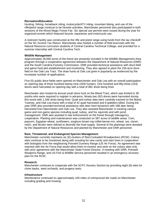#### **Recreation/Education**

Hunting, fishing, horseback riding, motorcycle/ATV riding, mountain biking, and use of the rifle/pistol range continue to be favorite activities. Manchester personnel also participated in both sessions of the Wood Magic Forest Fair. Six special use permits were issued during the year for organized events which featured bicycle, equestrian and motorcycle use.

A restroom facility was constructed at the rifle and pistol range using funds from the tax checkoff on the SC Income Tax Return. Manchester also hosted a number of field exercises with the Natural Resource curriculum students of Central Carolina Technical College, and provided for a summer internship with Central Carolina Tech.

#### **Wildlife Management**

Approximately 26,000 acres of the forest are presently included in the Wildlife Management Area program through a cooperative agreement between the Department of Natural Resources (DNR) and the South Carolina Forestry Commission. DNR provided technical assistance with dove field and game food plot establishment and monitoring. They also agreed to plant the 150-acre dove field on the Oak Lea Tract. The draw hunts at Oak Lea grew in popularity as evidenced by the increased number of applications.

Five (5) public dove fields were opened on Manchester and Oak Lea with an overall participation on opening day of three hundred twenty-nine (329) hunters. One hundred and fifty-three (153) doves were harvested on opening day with a total of 881 shots being fired.

Manchester also hosted its annual youth dove hunt on the Bland Tract, which was limited to 38 youths who were required to register in advance. Ninety-two (92) doves were harvested during this event with 1,346 shots being fired. Quail and turkey data were carefully tracked on the Bland, Tuomey, and Oak Lea tracts with a total of 42 quail harvested and 8 gobblers killed. During the year DNR also provided technical assistance with deer herd dynamics with 188 deer being harvested from Manchester and Oak Lea. They also assisted Manchester in tracking various game and non-game species including quail, turkey, and fox squirrels and with pond management. DNR also assisted in law enforcement on the forest through interagency cooperation. Planting and maintenance was conducted on 587 acres of wildlife areas. Com, popcorn, Egyptian wheat, sunflowers, sorghum-brown top-millet-benne mix, wheat, rye, clover, vetch, and bicolor were utilized to diversify the food supply. Several of the plantings were donated by the Department of Natural Resources and planted by Manchester and DNR personnel.

#### **Rare, Threatened, and Endangered Species Management**

Manchester currently maintains six (6) clusters of Red-Cockaded Woodpeckers (RCW). Colony sites continue to be monitored along with scouting for new cavity and start trees in cooperation with biologists from the neighboring Poinsett Gunnery Range (US Air Force). An agreement was reached with the Air Force that would allow them to monitor and work on the colony sites only with prior agreement with the Manchester State Forest Director. A meeting with DNR, Poinsett Weapons Range, and US Fish & Wildlife Service personnel resulted in an emergency recovery plan for the RCW.

#### **Research**

Manchester continues to cooperate with the SCFC Nursery Section by providing eight (8) sites for clone banks, seed orchards, and progeny tests.

#### **Infrastructure**

Maintenance continued on approximately 100 miles of unimproved dirt roads on Manchester including grading and mowing.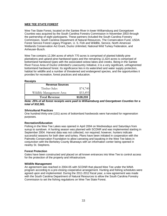## **WEE TEE STATE FOREST**

Wee Tee State Forest, located on the Santee River in lower Williamsburg and Georgetown Counties was acquired by the South Carolina Forestry Commission in November 2003 through the partnership of eight participants. These partners included the South Carolina Forestry Commission, South Carolina Department of Natural Resources, The Conservation Fund, USDA Forest Service Forest Legacy Program, U. S. Fish and Wildlife, Service, North American Wetlands Conservation Act Grant, Ducks Unlimited, National Wild Turkey Federation, and Anheuser-Busch.

Wee Tee contains 12,394 acres of which 770 acres is comprised of planted loblolly pine plantations and upland pine-hardwood types and the remaining 11,624 acres is comprised of bottomland hardwood types with the associated oxbow lakes and creeks. Being in the Santee River Focus Area of Ducks Unlimited's Lowcountry Initiative, it is a very significant, unfragmented bottomland hardwood forest. Its significance lies in its watershed and water supply protection, habitat for wildlife and a number of threatened and endangered species, and the opportunities it provides for recreation, forest practices and education.

#### **Receipts**

| \$74,740  |
|-----------|
| \$53,493  |
| \$128,233 |
|           |

*Note: 25% of all forest receipts were paid to Williamsburg and Georgetown Counties for a total of \$32,581.*

## **Silvicultural Practices**

One hundred thirty-one (131) acres of bottomland hardwoods were harvested for regeneration purposes.

## **Recreation/Education**

Fishing in the Wee Tee Lakes was opened in April 2004 on Wednesdays and Saturdays from sunup to sundown. A hunting season was planned with SCDNR and was implemented starting in September 2004. Harvest data was not collected, nor required; however, hunters indicate successful seasons for both deer and turkey. Plans have been initiated in cooperation with the Palmetto Conservation Foundation to allow canoeing and kayaking in the Wee Tee lakes in conjunction with the Berkeley County Blueways with an information center being opened in nearby St. Stephens.

#### **Forest Protection**

Gates have been constructed and placed on all known entrances into Wee Tee to control access for the protection of the property and infrastructure.

#### **Wildlife Management**

An agreement was reached in 2004-05 with SCDNR that placed Wee Tee under the WMA program according to a pre-closing cooperative arrangement. Hunting and fishing schedules were agreed upon and implemented. During the 2011-2012 fiscal year, a new agreement was made with the South Carolina Department of Natural Resources to allow the South Carolina Forestry Commission to set the fishing regulations on Wee Tee State Forest.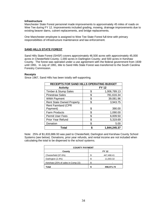### **Infrastructure**

Manchester State Forest personnel made improvements to approximately 45 miles of roads on Wee Tee during FY 12. Improvements included grading, mowing, drainage improvements due to existing beaver dams, culvert replacements, and bridge replacements.

One Manchester employee is assigned to Wee Tee State Forest full-time with primary responsibilities of infrastructure maintenance and law enforcement.

#### **SAND HILLS STATE FOREST**

Sand Hills State Forest (SHSF) covers approximately 46,500 acres with approximately 45,000 acres in Chesterfield County; 1,000 acres in Darlington County; and 500 acres in Kershaw County. The forest was operated under a use agreement with the federal government from 1939 until 1991. In July of 1991, title to Sand Hills State Forest was transferred to the South Carolina Forestry Commission.

#### **Receipts**

Since 1967, Sand Hills has been totally self-supporting.

| <b>RECEIPTS FOR SAND HILLS OPERATING BUDGET</b> |              |              |
|-------------------------------------------------|--------------|--------------|
| <b>Activity</b>                                 | <b>FY 12</b> |              |
| <b>Timber &amp; Stump Sales</b>                 | \$           | 1,006,789.13 |
| <b>Pinestraw Sales</b>                          | \$           | 781,616.34   |
| <b>WMA Payment</b>                              | \$           | 39,081.96    |
| <b>Rent State Owned Property</b>                | \$           | 3,943.75     |
| <b>Rent Farmland (CPR</b>                       |              |              |
| Payment)                                        | S            | 390.00       |
| Farm Products                                   | \$           | 1,090.00     |
| <b>Permit User Fees</b>                         | \$           | 6,009.50     |
| <b>Prior Year Refund</b>                        | \$           | 5,319.69     |
| Donation                                        |              | 5.00         |
| Total                                           |              | 1,844,245.37 |

Note: 25% of \$1,833,886.93 was paid to Chesterfield, Darlington and Kershaw County School Systems (see below). Donations, prior year refunds, and rental income are not included when calculating the total to be dispersed to the school systems.

| <b>COUNTY PAYMENT</b>             |   |            |
|-----------------------------------|---|------------|
| County<br><b>FY 12</b>            |   |            |
| Chesterfield (97.6%)              |   | 447,468.41 |
| Darlington (2.4%)                 | S | 11,003.32  |
| Kershaw (25% of sales in Comp 22) |   |            |
| Total                             |   | 458,471.73 |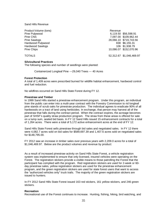Sand Hills Revenue

Product Volume (tons) and the contract of the contract of the contract of the Revenue Pine Pulpwood 6,119.50 \$56,598.91 Pine CNS 7,097.00 \$109,962.44 28,066.10 \$719,743.56<br>838 \$6.155.31 Hardwood Pulpwood Hardwood Sawlogs 106 \$1,938.79 Pine Chips 10,086.07 \$152,070.96 TOTALS 52,312.67 \$1,046,469.97

#### **Silvicultural Practices**

The following species and number of seedlings were planted:

Containerized Longleaf Pine ---29,040 Trees --- 40 Acres

#### **Forest Protection**

A total of 1,409 acres were prescribed burned for wildlife habitat enhancement, hardwood control and fuel reduction.

No wildfires occurred on Sand Hills State Forest during FY 12.

#### **Pinestraw and Timber**

In 1999 Sand Hills started a pinestraw enhancement program. Under this program, an individual from the public can enter into a multi-year contract with the Forestry Commission to rid longleaf pine stands of scrub oaks for pinestraw production. The individual agrees to eradicate 90% of all hardwoods on a tract of land using herbicides. In exchange, that person may harvest all of the pinestraw that falls during the contract period. When the contract expires, the acreage becomes part of SHSF's quality straw production program. The straw from these areas is offered for sale on a lump sum, sealed bid basis. In FY 12 Sand Hills issued 15 enhancement contracts for a total of 1,264 acres. There were a total of 5,172 active enhancement acres at the end of FY 12.

Sand Hills State Forest sells pinestraw through bid sales and negotiated sales. In FY 12 there were 4,082.7 acres sold on bid sales for \$589,697.39 and 1,407.6 acres sold on negotiated sales for \$148,795.00.

FY 2012 saw an increase in timber sales over previous years with 2,209.0 acres for a total of \$1,046,469.97. Below are the product volumes and revenue by product:

As a result of increased pinestraw activity on Sand Hills State Forest, a vehicle registration system was implemented to ensure that only licensed, insured vehicles were operating on the Forest. The registration stickers provide a visible means to those patrolling the Forest that the participant has complied with the program. Red registration stickers are used for 2-week or 60 day pinestraw sales, yellow registration stickers are used for the pinestraw enhancement program, and the green registration stickers are used for state forest users that want to access the "authorized vehicles only" truck trails. The majority of the green registration stickers are issued to hunters.

In FY 2012 Sand Hills State Forest issued 163 red stickers, 161 yellow stickers, and 246 green stickers.

#### **Recreation**

Recreational use of the Forest continues to increase. Hunting, fishing, hiking, bird watching, and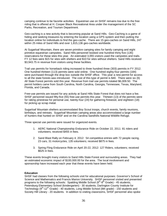camping continue to be favorite activities. Equestrian use on SHSF remains low due to the free riding that is offered at H. Cooper Black Recreational Area under the management of the SC Parks, Recreation, and Tourism Department.

Geo-caching is a new activity that is becoming popular at Sand Hills. Geo-Caching is a game of hiding and seeking treasures by entering the location using a GPS system and then putting the location online for individuals to find the geo-cache. There are 15 geo-caches on Sand Hills, 247 within 25 miles of Sand Hills and over 1,815,136 geo-caches worldwide.

At Sugarloaf Mountain, there are seven primitive camping sites for family camping and eight primitive equestrian campsites. Sand Hills personnel booked one hundred thirty five (135) reservations for these sites this year. An estimated 3,055 visitors used the campsites and trails. FY 12 fees were \$15 for sites with shelters and \$10 for sites without shelters. Sand Hills received \$3,943.75 in revenue from visitors using these facilities.

Trail use permits for horseback riding increased to three hundred three (303) permits in FY 2012. One hundred thirteen (113) permits were sold online. One hundred eighty-four permits (184) were purchased through the drop box outside the SHSF office. This year a new permit for access to all the state forests was introduced. The cost of this type of permit is \$40. There were six (6) All State Forest permits sold this year. Revenue from trail use permits totaled \$6,009.50. The permit holders came from South Carolina, North Carolina, Georgia, Tennessee, Texas, Maryland, Florida, and Canada.

Free-use permits are issued for any activity at Sand Hills State Forest that does not have a fee. SHSF personnel issued fifty-five (55) free-use permits this year. Thirteen (13) of the permits were for raking pinestraw for personal use, twenty-four (24) for gathering firewood, and eighteen (18) for picking up scrap metal.

Sugarloaf Mountain shelters accommodated Boy Scout troops, church events, family reunions, birthdays, and retreats. Sugarloaf Mountain camping areas also accommodated a large number of hunters that hunted on SHSF and on the Carolina Sandhills National Wildlife Refuge.

Three special use permits were issued for organized events.

- 1. AERC National Championship Endurance Ride on October 22, 2011: 81 riders and volunteers; received \$455 in fees.
- 2. Sand Blast Rally on February 4, 2012: 54 competitive entries with 72 people racing, 23 cars, 31 motorcycles, 135 volunteers; received \$875 in fees.
- 3. Spring Fling Endurance Ride on April 20-22, 2012: 127 Riders, volunteers; received \$625 in fees.

These events brought many visitors to Sand Hills State Forest and surrounding areas. They had an estimated economic impact of \$100,000.00 for the area. The local involvement and sponsorship have increased each year that these events have been held.

#### **Education**

SHSF had classes from the following schools visit for educational purposes: Governor's School of Science and Mathematics and Francis Marion University. SHSF personnel visited and presented programs to the following schools: Spalding Middle School  $(6<sup>th</sup>-8<sup>th</sup> Grade) - 45$  students, Petersburg Elementary School (kindergarten) - 30 students, Darlington County Institute for Technology (9<sup>th</sup>-12<sup>th</sup> Grade) - 40 students, Long Middle School (8th grade) - 150 students and Society Hill Library - 20 students. In addition to visiting classrooms, SHSF personnel also spoke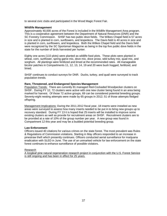to several civic clubs and participated in the Wood Magic Forest Fair.

#### **Wildlife Management**

Approximately 40,000 acres of the Forest is included in the Wildlife Management Area program. This is a cooperative agreement between the Department of Natural Resources (DNR) and the SC Forestry Commission. SHSF has two public dove fields. The Wilkes Chapel field is 57 acres in size and is planted in corn, sunflowers, and lespedeza. The Davis field is 40 acres in size and is planted in corn, sunflowers, and lespedeza. Both the Wilkes Chapel field and the Davis field were recognized by the SC Sportsman Magazine as being in the top five public dove fields in the state for the number of birds harvested per hunter.

Eighty one acres (110 plots) were planted as wildlife food plots. These plots were planted in wheat, corn, sunflower, spring game mix, dove mix, dove proso, wild turkey mix, quail mix, and sorghum. All plantings were fertilized and limed at the recommended rates. All manageable bicolor patches in Compartments 11, 12, 13, 14, 19 and 20 were bush hogged, fertilized, and limed.

SHSF continues to conduct surveys for DNR. Ducks, turkey, and quail were surveyed to track population trends.

#### **Rare, Threatened, and Endangered Species Management**

Population Trends: There are currently 81 managed Red-Cockaded Woodpecker clusters on SHSF. During FY 12, 72 clusters were active with one new cluster being found in an area being marked for harvest. Of those 72 active groups, 69 can be considered potential breeding groups. Seventy-eight nesting attempts were made by 65 groups in 2012; 51 of those attempts fledged offspring.

Management Implications: During the 2011-2012 fiscal year, 18 inserts were installed as new areas were surveyed to assess how many inserts needed to be put in to bring new groups up to recovery standard. During FY 13 it is hoped that 25 inserts will be installed to improve some existing clusters as well as provide for recruitment areas on SHSF. Recruitment clusters are to be provided at a rate of 10% of the group number per year. A new group was found in Compartment 12 this year and may be a budded potential breeding group.

#### **Law Enforcement**

Officers issued 40 citations for various crimes on the state forest. The most prevalent was Rules & Regulations of Commission violations. Starting in May officers responded to an increase in pinestraw theft which presently continues. Officers conducted aerial surveillance for marijuana eradication with SLED in June. The use of an unmarked vehicle for law enforcement on the state forest continues to enhance surveillance of possible violators.

#### Research

A longleaf pine natural regeneration research project in conjunction with the U.S. Forest Service is still ongoing and has been in effect for 25 years.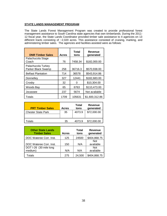## **STATE LANDS MANAGEMENT PROGRAM**

The State Lands Forest Management Program was created to provide professional forest management assistance to South Carolina state agencies that own timberlands. During the 2011- 12 fiscal year, the State Lands Coordinator provided timber sale assistance to 4 agencies on 13 different tracts consisting of ~2,020 acres. This assistance consisted of cruising, marking, and administering timber sales. The agencies and facilities assisted were as follows:

| <b>DNR Timber Sales</b>                  | <b>Acres</b> | Total<br>tons | <b>Revenue</b><br>generated |
|------------------------------------------|--------------|---------------|-----------------------------|
| Palachucola Stage<br>Coach               | 76           | 7458.34       | \$182,000.00                |
| Palachucola Turkey<br>Parker Black Swamp | 258          | 36716.3       | \$570,938.00                |
| <b>Belfast Plantation</b>                | 714          | 36578         | \$543,914.86                |
| Donnelley                                | 327          | 12441         | \$182,683.00                |
| Crosby                                   | 32           |               | \$10,304.00                 |
| Woods Bay                                | 65           | 6763          | \$110,473.00                |
| Jocassee                                 | 237          | 5674          | Not available               |
| Totals                                   | 1709         | 105631        | \$1,600,312.86              |

| <b>PRT Timber Sales</b>   | <b>Acres</b> | Total<br>tons | <b>Revenue</b><br>generated |
|---------------------------|--------------|---------------|-----------------------------|
| <b>Chester State Park</b> | 35           | 4073.9        | \$72,000.00                 |
| otals                     | 35           | 4073.9        | \$72,000.00                 |

| <b>Other State Lands</b><br><b>Timber Sales</b> | <b>Acres</b> | Total<br>tons | Revenue<br>generated |
|-------------------------------------------------|--------------|---------------|----------------------|
| DOC Wateree Corr. Inst.                         | 125          | 24500         | \$404,868.75         |
|                                                 |              |               | <b>Not</b>           |
| DOC Wateree Corr. Inst.                         | 150          | N/A           | available            |
| DOT I-26 (30 mile long                          |              |               | <b>Not</b>           |
| medium)                                         | N/A          | N/A           | available            |
| Totals                                          | 275          | 24,500        | \$404,868.75         |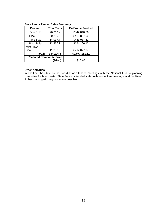| <b>Product</b>                  | <b>Total Tons</b> | <b>Bid Value/Product</b> |
|---------------------------------|-------------------|--------------------------|
| Pine Pulp                       | 76,269.2          | \$842,840.66             |
| Pine CNS                        | 20,280.0          | \$419,887.00             |
| Pine Saw                        | 14,037.7          | \$483,037.52             |
| Hwd. Pulp                       | 12,367.7          | \$124,106.12             |
| Misc. Hwd.                      |                   |                          |
| Saw                             | 11,250.0          | \$262,077.07             |
| Total:                          | 134,204.5         | \$2,077,181.61           |
| <b>Received Composite Price</b> |                   |                          |
|                                 | (\$/ton):         | \$15.48                  |

## **State Lands Timber Sales Summary**

#### **Other Activities**

In addition, the State Lands Coordinator attended meetings with the National Enduro planning committee for Manchester State Forest, attended state trails committee meetings, and facilitated timber marking with regions where possible.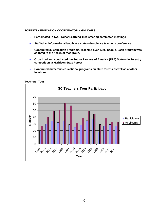#### **FORESTRY EDUCATION COORDINATOR HIGHLIGHTS**

- **Participated in two Project Learning Tree steering committee meetings**
- **Staffed an informational booth at a statewide science teacher's conference**
- **Conducted 30 education programs, reaching over 1,500 people. Each program was adapted to the needs of that group.**
- **Organized and conducted the Future Farmers of America (FFA) Statewide Forestry competition at Harbison State Forest**
- **Conducted numerous educational programs on state forests as well as at other locations.**

**Teachers' Tour**

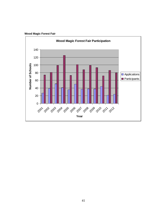

**Wood Magic Forest Fair**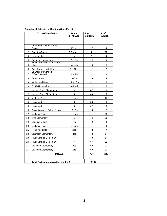#### **Educational Activities at Harbison State Forest**

| School/Organization<br>Grade<br># of<br>Level/Age<br><b>Children</b> |                                               | $#$ of<br><b>Adults</b> |                |                         |
|----------------------------------------------------------------------|-----------------------------------------------|-------------------------|----------------|-------------------------|
|                                                                      |                                               |                         |                |                         |
|                                                                      | Around the World Summer                       |                         |                |                         |
| 1                                                                    | Camp                                          | K-2nd                   | 17             | 4                       |
| 2                                                                    | Forestry Queens                               | 3-6 yr olds             | $\overline{7}$ | 10                      |
| 3                                                                    | New Heights                                   | 2nd                     | 6              | $\overline{4}$          |
| 4                                                                    | Palmetto Homeschool                           | 2nd-6th                 | 14             | 5                       |
| 5                                                                    | SC Wildlife Federation Family<br>Hike         | families                | 15             | 8                       |
| 6                                                                    | Batesburg-Leeville High                       | 9th-12th                | 11             | $\overline{\mathbf{c}}$ |
| $\overline{7}$                                                       | Spartanburg Schools<br>Gifted/Talented        | 4th-5th                 | 31             | 3                       |
| 8                                                                    | <b>Burea Junior</b>                           | K-8th                   | 10             | 4                       |
| 9                                                                    | White Knoll High                              | 11th-12th               | 31             | 8                       |
| 10                                                                   | <b>GLAD Homeschool</b>                        | preK-6th                | 12             | 6                       |
| 11                                                                   | Nursery Road Elementary                       | Κ                       | 47             | 6                       |
| 12                                                                   | Nursery Road Elementary                       | K                       | 49             | 6                       |
| 13                                                                   | Midlands Tech                                 | college                 |                | 20                      |
| 14                                                                   | Hammond                                       | Κ                       | 33             | 5                       |
| 15                                                                   | Hammond                                       | Κ                       | 32             | 5                       |
| 16                                                                   | Commissioner's School for Ag                  | 10-12th                 | 15             | $\overline{2}$          |
| 17                                                                   | Midlands Tech                                 | college                 |                | 25                      |
| 18                                                                   | Irmo Elementary                               | 1                       | 76             | 33                      |
| 19                                                                   | Longleaf Middle                               | 7th                     | 49             | 3                       |
| 20                                                                   | Midlands Tech                                 | college                 |                | 25                      |
| 21                                                                   | Heathwood Hall                                | 2nd                     | 42             | $\overline{7}$          |
| 22                                                                   | Lexington Elementary                          | 1st                     | 42             | 14                      |
| 23                                                                   | <b>River Springs Elementary</b>               | Κ                       | 38             | 14                      |
| 24                                                                   | <b>River Springs Elementary</b>               | Κ                       | 57             | 21                      |
| 25                                                                   | <b>Ballentine Elementary</b>                  | 1st                     | 60             | 21                      |
| 26                                                                   | <b>Ballentine Elementary</b>                  | 2nd                     | 60             | 24                      |
|                                                                      | <b>TOTALS</b>                                 |                         | 754            | 285                     |
|                                                                      |                                               |                         |                |                         |
|                                                                      | <b>Total Participating (Adults +children)</b> | $\equiv$                | 1039           |                         |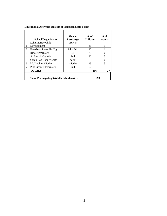|                | School/Organization                         | Grade<br>Level/Age | $#$ of<br><b>Children</b> | # of<br><b>Adults</b> |
|----------------|---------------------------------------------|--------------------|---------------------------|-----------------------|
|                | Lake Murray Child                           | $preK-5$           |                           |                       |
|                | Development                                 |                    | 45                        | 5                     |
| $\overline{2}$ | Batesburg Leesville High                    | $9th-12th$         | 13                        |                       |
| 3              | Irmo Elementary                             | 1st                | 73                        | 6                     |
| 4              | St. Joesph Catholic                         | 2nd                | 30                        | 3                     |
| 5              | Camp Bob Cooper Staff                       | adult              |                           | 6                     |
| 6              | McCracken Middle                            | middle             | 45                        | 3                     |
| 7              | Pine Grove Elementary                       | 2nd                | 60                        | 3                     |
|                | <b>TOTALS</b>                               |                    | 266                       | 27                    |
|                |                                             |                    |                           |                       |
|                | Total Participating $(Adults + children) =$ |                    | 293                       |                       |

## **Educational Activities Outside of Harbison State Forest**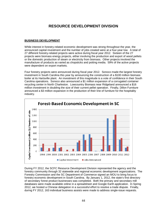# **RESOURCE DEVELOPMENT DIVISION**

## **BUSINESS DEVELOPMENT**

While interest in forestry-related economic development was strong throughout the year, the announced capital investment and the number of jobs created were at a four-year low. A total of 27 different forestry-related projects were active during fiscal year 2012. Sixteen of the 27 projects were biomass energy projects, either involving the production and export of wood pellets or the domestic production of steam or electricity from biomass. Other projects involved the manufacture of products as varied as chopsticks and potting media. 59% of the active projects were dependent on export markets.

Four forestry projects were announced during fiscal year 2012. Sonoco made the largest forestry investment in South Carolina this year by announcing the construction of a \$100 million biomass boiler at its Hartsville plant. An investment of this magnitude is a vote of confidence in their South Carolina operations. Sonoco also announced a \$1 million expansion of a corrugated container recycling center in North Charleston. Lowcountry Biomass near Ridgeland announced a \$16 million investment in doubling the size of their current pellet operation. Finally, Dillon Furniture announced a \$3 million expansion in the production of their line of furniture for the hospitality industry.



During FY 2012, the SCFC Resource Development Division represented the agency and the forestry community through 32 statewide and regional economic development organizations. The Forestry Commission and the SC Department of Commerce signed an MOU to bring focus to forestry economic development in South Carolina. By January 1, 2012, the state's first directory of secondary forest product businesses was completed. Both the primary and secondary mill databases were made available online in a spreadsheet and Google Earth application. In Spring 2012, we hosted a Chinese delegation in a successful effort to resolve a trade dispute. Finally, during FY 2012, 163 individual business assists were made to address single-issue requests.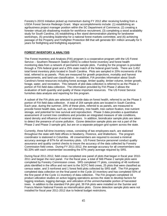Forestry's 20/15 Initiative picked up momentum during FY 2012 after receiving funding from a USDA Forest Service Redesign Grant. Major accomplishments include: (1) establishing an agribusiness project manager position within the SC Department of Commerce, (2) creating a forester virtual job shadowing module for workforce recruitment, (3) completing a wood availability study for South Carolina, (4) establishing a flex stand demonstration planting for landowner workshops, (5) providing leadership for a national forest markets committee, and (6) achieving passage of the Property and Firefighter Protection Bill that will generate \$3+ million annually for 5 years for firefighting and firefighting equipment.

## **FOREST INVENTORY & ANALYSIS**

The Forest Inventory and Analysis (FIA) program is a cooperative program with the US Forest Service – Southern Research Station (SRS) to collect forest inventory and forest health monitoring data from a network of permanent sample plots. Funding for the program is provided through a 75% federal grant and a 25% state match of the federal grant funds. There are 3,452 total forest inventory plots located in South Carolina. Plots are sampled in 20% increments of the total, referred to as panels. Plots are measured for growth projections, mortality and harvest assessments, and land-use classification. In addition, FIA provides information about South Carolina's forest resources including forest acreage, timber quality, timber volume, timber growth, forage, water, and recreation. This network of plot data collection is referred to as the Phase 2 portion of FIA field data collection. The information provided by FIA Phase 2 allows the evaluation of both quantity and quality of these important resources. The US Forest Service furnishes data analysis and reporting for this program.

A subset of the FIA plots are selected to provide data on forest health, referred to as the Phase 3 portion of FIA field data collection. A total of 204 sample plots are located in South Carolina. Each year, during the summer, 20% of these plots, referred to as panels, are measured to provide forest health data, such as, soil chemistry, tree health, tree carbon fixation, tree nutrient storage, and potential for tree survival and reproduction. Phase 3 data provides a quantitative assessment of current tree conditions and provides an integrated measure of site conditions, stand density and influence of external stresses. In addition, bioindicator sample plots are taken to detect the presence of ozone pollution. Ozone detection sample plots are not a part of the Phase 2 and Phase 3 sample grid, but are on a separate polygon grid system across the state.

Currently, three full-time inventory crews, consisting of two employees each, are stationed throughout the state with field offices in Newberry, Florence, and Walterboro. The program coordinator is stationed in Columbia. All crewmembers are required to exceed a minimal accuracy average of 87% for all inventory plots. US Forest Service personnel conduct quality assurance and quality control checks to insure the accuracy of the data collected by Forestry Commission field crews. During FY 2011-2012, the average accuracy for all crewmembers was 93.33% with each crewmember exceeding the 87% yearly average required by SRS.

During fiscal 2011-2012, field crews completed one panel of plots that began in fiscal year 2010- 2011 and began the next panel. For the fiscal year, a total of 566 Phase 2 sample plots were completed by Forestry Commission crews. SRS completed 77 plots, consisting of 48 nonforest plots identified in the office and not sent to the SCFC field crews, 25 plots that were classified as census water, and 3 nonforest and 1 forest field plots collected by SRS staff. The FIA program completed data collection on the final panel in the Cycle 10 inventory and has completed 55% of the first panel of the Cycle 11 inventory of data collection. The FIA program completed 16 product utilization studies on active logging operations across the state to develop factors for logging residues, logging damage, and utilization of the unmerchantable portion of harvested trees. In addition to the standard FIA plot grid, 39 FIA plots were installed on the Sumter and Francis Marion National Forests as intensification plots. Ozone detection sample plots were not installed for fiscal year 2011-2012 due to federal budget restrictions.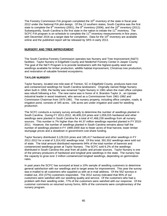The Forestry Commission FIA program completed the 10<sup>th</sup> inventory of the state in fiscal year 2012 under the National FIA plot design. Of the 13 southern states, South Carolina was the first state to complete the  $8<sup>th</sup>$  inventory (2001), the  $9<sup>th</sup>$  inventory (2006), and the  $10<sup>th</sup>$  inventory (2011). Subsequently, South Carolina is the first state in the nation to initiate the  $11<sup>th</sup>$  inventory. The SCFC FIA program is on schedule to complete the  $11<sup>th</sup>$  inventory measurements in five years, with December 2016 as a target date for completion. Data for the  $10<sup>th</sup>$  inventory are available online and the published report will be released by SRS in early 2013.

## **NURSERY AND TREE IMPROVEMENT**

The South Carolina Forestry Commission operates two Nursery and Tree Improvement (N&TI) facilities: Taylor Nursery in Edgefield County and Niederhof Forestry Center in Jasper County. The goal of the N&TI Program is to provide landowners with the highest-quality seed and seedlings available for timber production, wildlife habitat improvement, Christmas tree production, and restoration of valuable forested ecosystems.

## **TAYLOR NURSERY**

Taylor Nursery, located one mile east of Trenton, SC in Edgefield County, produces bare-root and containerized seedlings for South Carolina landowners. Originally named Ridge Nursery when built in 1958, the facility was renamed Taylor Nursery in 1981 when the main office complex was rebuilt following a fire. The new name was in honor of A. Brandon Taylor Jr., an Upstate industrial leader in wood treatment, who served as a Commissioner from 1961-1982 and Commission Chairman from 1975-1981. The nursery property, including office complex, roads, & irrigation pond, consists of 345 acres. 106 acres are under irrigation and used for seedling production.

The SCFC conducts a nursery survey annually to determine the number of seedlings planted in South Carolina. During FY 2011-2012, 46,409,224 pines and 1,059,015 hardwood and other seedlings were planted in South Carolina for a total of 47,468,239 seedlings from all nursery sources. This number is 7% higher than the 44.37 million seedlings reported planted in FY 2010- 2011. However, the number of seedlings planted in South Carolina remains about half the number of seedlings planted in FY 1999-2000 due to fewer acres of final harvest, lower timber stumpage prices and a slowdown in government cost-share funding.

Taylor Nursery distributed 3,129,015 pines and 185,417 hardwood and other seedlings in FY 2011-2012 for a total of 3,314,432 seedlings total. Of this total, 391,552 seedlings were sold out of state. The total amount distributed represents 94% of the total number of bareroot and containerized seedlings grown at Taylor Nursery. The SCFC sold 6.2% of the seedlings distributed in South Carolina this year from all public and private sources. Taylor Nursery is one of the primary producers of hardwood and longleaf pine seedlings in the state. The nursery has the capacity to grow over 2 million containerized longleaf seedlings, depending on germination rates.

In past years the SCFC has surveyed at least a 10% sample of seedling customers to determine general satisfaction with our seedlings and to target areas for improvement. This year the survey was e-mailed to all customers who supplied us with an e-mail address. Of the 552 surveys emailed out, 203 (37%) customers responded. The 2012 survey indicated that 95% of our customers were satisfied with our seedling quality and service. Of the customers who had a problem with their seedling order, 77% of the customers were satisfied with our response. Of the customer comments on returned survey forms, 66% of the comments were complimentary of the nursery program.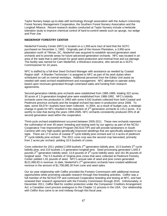Taylor Nursery keeps up-to-date with technology through association with the Auburn University Forest Nursery Management Cooperative, the Southern Forest Nursery Association and the Longleaf Alliance. Recent research studies conducted at Taylor Nursery include a herbicide toleration study to improve chemical control of hard-to-control weeds such as spurge, nut sedge and Poor-Joe.

## **NIEDERHOF FORESTRY CENTER**

Niederhof Forestry Center (NFC) is located on a 1,593-acre tract of land that the SCFC purchased on December 1, 1983. Originally part of the Hoover Plantation, a 3,950-acre plantation north of Tillman, SC, Niederhof was acquired to establish second-generation seed orchards and to provide areas for future advanced-generation orchards. NFC was located in an area of the state that is well known for good seed production and minimal frost and ice damage. The facility was named for Cam Niederhof, a Westvaco executive, who served as a SCFC Commissioner for 24 years.

NFC is staffed by a full-time Seed Orchard Manager with assistance as needed by Coastal Region staff. A Warden Technician I is assigned to NFC as part of his work duties when scheduled on-call on normal workdays. Additional personnel from the Edisto Unit assist as needed with seed orchard establishment and management. NFC attempts to operate solely based upon revenues generated through cone/seed sales and funding from research agreements.

Second-generation loblolly pine orchards were established from 1985-1989, totaling 322 acres; 30 acres of 1.5-generation longleaf pine were established from 1988-1992. NFC's loblolly orchards came into production in 1993 with some 4,542 bushels collected from both Coastal and Piedmont province orchards and the longleaf orchard has been in production since 2008. To date, some 59,074+ bushels have been collected. In 2004, as a result of budget cuts, a strategic change in goals for NFC resulted in the reduction of  $2^{nd}$ -generation orchards to 115.2 acres. It is worthy to note that during the years 1993-2005, NFC orchards consistently produced 25% of all second generation seed within the cooperative.

Third-cycle orchard establishment occurred between 2005-2011. These new orchards represent the culmination of over 40 years' breeding and testing work by our agency as part of the NCSU Cooperative Tree Improvement Program (NCSUCTIP) and will provide landowners in South Carolina with very high-quality genetically-improved seedlings that are specifically adapted to our state. There are 17.6 acres of coastal 3rd cycle loblolly pine orchard and 12.4 acres of piedmont  $3<sup>rd</sup>$  cycle loblolly pine orchard. The 2011 cone crop was the second crop harvested, primarily from 2 acres per orchard, yielding 10.5 bushels of cones.

Cone collection for 2011 yielded 2,059 bushels  $2^{nd}$ -generation loblolly pine, 10.5 bushels  $3^{rd}$ -cycle loblolly pine, and 215 bushels 1.5 generation longleaf pine. Seed processing generated 1,645.4 pounds 2<sup>nd</sup>-generation loblolly seed, 13.8 pounds of 3<sup>rd</sup>-cycle loblolly seed, and 161.95 pounds of longleaf seed. The 5.5 bushels of Virginia pine cones that were collected at Piedmont Forestry Center yielded 1.81 pounds of seed. NFC's annual sale of seed and pine cones generated  $$121,068.83$  in revenue: to date, Niederhof's  $2^{nd}$ -generation orchards have created additional revenue in the amount of \$1,708,685.30 from cone and seed sales.

Our six-year relationship with Cellfor provided the Forestry Commission with additional revenue opportunities while promoting valuable research through tree breeding activities. Cellfor was a full member of the NCSUCTIP and continued Cooperative breeding and testing at NFC, and had renewed their research agreement with the Forestry Commission through 2015. Unfortunately, in December 2011, Cellfor filed for creditor protection under the Companies' Creditors Arrangement Act, a Canadian court process analogous to the Chapter 11 process in the USA. Our relationship with Cellfor thus came to an end midway through this fiscal year.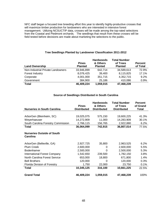NFC staff began a focused tree breeding effort this year to identify highly-productive crosses that will maximize timber production for landowners who are interested in intensive forest management. Utilizing NCSUCTIP data, crosses will be made among the top-rated selections from the Coastal and Piedmont orchards. The seedlings that result from these crosses will be field tested before decisions are made about marketing the selections to the public.

| <b>Land Ownership</b>             | <b>Pines</b><br><b>Planted</b> | <b>Hardwoods</b><br>& Others<br><b>Planted</b> | <b>Total Number</b><br>of Trees<br><b>Planted</b> | <b>Percent</b><br>of Total |
|-----------------------------------|--------------------------------|------------------------------------------------|---------------------------------------------------|----------------------------|
| Non-Industrial Private Landowners | 33,946,899                     | 642.714                                        | 34,589,613                                        | 72.9%                      |
| Forest Industry                   | 8,076,425                      | 39,400                                         | 8,115,825                                         | 17.1%                      |
| Corporate                         | 4,001,000                      | 351,715                                        | 4,352,715                                         | 9.2%                       |
| Government                        | 384,900                        | 25,186                                         | 410,086                                           | 0.9%                       |
| <b>Total</b>                      | 46,409,224                     | 1,059,015                                      | 47,468,239                                        |                            |

## **Tree Seedlings Planted by Landowner Classification 2011-2012**

#### **Source of Seedlings Distributed in South Carolina**

|                                     | <b>Pines</b>       | <b>Hardwoods</b><br>& Others | <b>Total Number</b><br>of Trees | <b>Percent</b><br>of Grand |
|-------------------------------------|--------------------|------------------------------|---------------------------------|----------------------------|
| <b>Nurseries in South Carolina</b>  | <b>Distributed</b> | <b>Distributed</b>           | <b>Distributed</b>              | <b>Total</b>               |
|                                     |                    |                              |                                 |                            |
| ArborGen (Bleinheim, SC)            | 19,025,075         | 575,150                      | 19,600,225                      | 41.3%                      |
| Weyerhaeuser                        | 14,272,909         | 11,000                       | 14,283,909                      | 30.1%                      |
| South Carolina Forestry Commission  | 2,766,115          | 156,765                      | 2,922,880                       | 6.2%                       |
| Total                               | 36,064,099         | 742,915                      | 36,807,014                      | 77.5%                      |
| <b>Nurseries Outside of South</b>   |                    |                              |                                 |                            |
| <b>Carolina</b>                     |                    |                              |                                 |                            |
| ArborGen (Belleville, GA)           | 2,927,725          | 35,800                       | 2,963,525                       | 6.2%                       |
| <b>Plum Creek</b>                   | 2,600,000          | 0                            | 2,600,000                       | 5.5%                       |
| Bodenhamer                          | 2,500,000          | $\Omega$                     | 2,500,000                       | 5.3%                       |
| <b>International Forest Company</b> | 1,542,650          | 239,500                      | 1,782,150                       | 3.8%                       |
| North Carolina Forest Service       | 653,000            | 18,800                       | 671,800                         | 1.4%                       |
| <b>Bell Brothers</b>                | 120,000            | $\Omega$                     | 120,000                         | 0.3%                       |
| Florida Division of Forestry        | 1,750              | 22,000                       | 23,750                          | 0.1%                       |
| Total                               | 10,345,125         | 316,100                      | 10,661,225                      | 22.5%                      |
| <b>Grand Total</b>                  | 46,409,224         | 1,059,015                    | 47,468,239                      | 100%                       |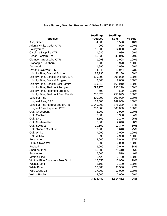## **State Nursery Seedling Production & Sales for FY 2011-20112**

|                                     | <b>Seedlings</b><br><b>Produced</b> | <b>Seedlings</b><br><b>Sold</b> | % Sold |
|-------------------------------------|-------------------------------------|---------------------------------|--------|
| <b>Species</b><br>Ash, Green        | 4,000                               | 1,590                           | 40%    |
| <b>Atlantic White Cedar CTR</b>     | 900                                 | 900                             | 100%   |
| <b>Baldcypress</b>                  | 15,000                              | 14,080                          | 94%    |
| Carolina Sapphire CTR               | 1,080                               | 1,080                           | 100%   |
| Cedar, Eastern Red                  | 50,930                              | 40,045                          | 79%    |
| <b>Clemson Greenspire CTR</b>       | 1,998                               | 1,998                           | 100%   |
| Crabapple, Southern                 | 3,980                               | 3,970                           | 100%   |
| Dogwood                             | 1,990                               | 1,990                           | 100%   |
| <b>Leyland Cypress CTR</b>          | 14,946                              | 10,944                          | 73%    |
| Loblolly Pine, Coastal 2nd gen.     | 88,130                              | 88,130                          | 100%   |
| Loblolly Pine, Coastal 2nd gen. SRS | 305,000                             | 305,000                         | 100%   |
| Loblolly Pine, Coastal 3rd gen      | 2,000                               | 2,000                           | 100%   |
| Loblolly Pine, Coastal Best Family  | 169,910                             | 169,910                         | 100%   |
| Loblolly Pine, Piedmont 2nd gen.    | 298,270                             | 298,270                         | 100%   |
| Loblolly Pine, Piedmont 3rd gen.    | 600                                 | 600                             | 100%   |
| Loblolly Pine, Piedmont Best Family | 255,025                             | 255,025                         | 100%   |
| Longleaf Pine                       | 300,000                             | 300,000                         | 100%   |
| Longleaf Pine, SRS                  | 189,000                             | 189,000                         | 100%   |
| Longleaf Pine Natural Stand CTR     | 1,040,000                           | 876,300                         | 84%    |
| Longleaf Pine Improved CTR          | 600,000                             | 600,000                         | 100%   |
| Oak, Cherrybark                     | 2,000                               | 1,990                           | 100%   |
| Oak, Gobbler                        | 7,000                               | 5,900                           | 84%    |
| Oak, Live                           | 8,500                               | 2,140                           | 25%    |
| Oak, Northern Red                   | 7,000                               | 2,640                           | 38%    |
| Oak, Sawtooth                       | 20,500                              | 12,340                          | 60%    |
| Oak, Swamp Chestnut                 | 7,500                               | 5,640                           | 75%    |
| Oak, White                          | 7,090                               | 7,090                           | 100%   |
| Oak, Willow                         | 2,990                               | 2,990                           | 100%   |
| Persimmon                           | 8,000                               | 6,940                           | 87%    |
| Plum, Chickasaw                     | 2,000                               | 2,000                           | 100%   |
| Redbud                              | 6,000                               | 2,040                           | 34%    |
| <b>Shortleaf Pine</b>               | 30,000                              | 25,410                          | 85%    |
| Sycamore                            | 6,000                               | 510                             | 9%     |
| Virginia Pine                       | 2,420                               | 2,420                           | 100%   |
| Virginia Pine Christmas Tree Stock  | 17,050                              | 16,950                          | 99%    |
| Walnut, Black                       | 2,100                               | 2,100                           | 100%   |
| <b>White Pine</b>                   | 36,580                              | 35,500                          | 97%    |
| Wire Grass CTR                      | 17,000                              | 17,000                          | 100%   |
| <b>Yellow Poplar</b>                | 2,000                               | 2,000                           | 100%   |
|                                     | 3,534,489                           | 3,314,432                       | 94%    |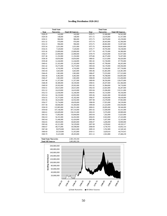#### **Seedling Distribution 1928-2012**

|                              | <b>Total State</b> |                          |         | <b>Total State</b> |                          |
|------------------------------|--------------------|--------------------------|---------|--------------------|--------------------------|
| Year                         | <b>Nurseries</b>   | <b>Total All Sources</b> | Year    | <b>Nurseries</b>   | <b>Total All Sources</b> |
| 1928-29                      | 142,000            | 142,000                  | 1970-71 | 31,940,000         | 54,541,000               |
| 1929-30                      | 148,000            | 148,000                  | 1971-72 | 23,678,000         | 41,357,000               |
| 1030-31                      | 986,000            | 986,000                  | 1972-73 | 30,978,000         | 45,239,000               |
| 1931-32                      | 976,000            | 976,000                  | 1973-74 | 28,443,000         | 42,306,000               |
| 1932-33                      | 996,000            | 996,000                  | 1974-75 | 40,082,000         | 55,997,000               |
| 1933-34                      | 1,031,000          | 1,031,000                | 1975-76 | 40,664,000         | 59,063,000               |
| 1934-35                      | 7,529,000          | 7,529,000                | 1976-77 | 39,795,000         | 59,238,000               |
| 1935-36                      | 23,000,000         | 23,000,000               | 1977-78 | 45,735,000         | 64,380,000               |
| 1936-37                      | 22,000,000         | 22,000,000               | 1978-79 | 43,010,000         | 65,937,000               |
| 1937-38                      | 11,192,000         | 11,192,000               | 1979-80 | 46,375,000         | 76,207,000               |
| 1938-39                      | 10,854,000         | 10,854,000               | 1980-81 | 53,513,000         | 86,420,000               |
| 1939-40                      | 12,244,000         | 12,244,000               | 1981-82 | 55,728,000         | 87,793,000               |
| 1940-41                      | 21,165,000         | 21,165,000               | 1982-83 | 47,799,000         | 86,265,000               |
| 1941-42                      | 10,275,000         | 10,275,000               | 1983-84 | 50,170,000         | 100,394,000              |
| 1942-43                      | 4,742,000          | 4,742,000                | 1984-85 | 51,636,000         | 107,718,000              |
| 1943-44                      | 5,663,000          | 5,663,000                | 1985-86 | 65,465,000         | 124,381,000              |
| 1944-45                      | 1,963,000          | 1,963,000                | 1986-87 | 73,555,000         | 157,523,000              |
| 1945-46                      | 6,402,000          | 6,402,000                | 1987-88 | 78,788,000         | 164,095,000              |
| 1946-47                      | 1,963,000          | 1,963,000                | 1988-89 | 55,052,000         | 153,450,000              |
| 1947-48                      | 11,357,000         | 11,357,000               | 1989-90 | 38,356,000         | 128,475,000              |
| 1948-49                      | 30,389,000         | 30,339,000               | 1990-91 | 29,297,000         | 102,384,000              |
| 1949-50                      | 29,502,000         | 29,502,000               | 1991-92 | 31,984,000         | 94,710,000               |
| 1950-51                      | 20,615,000         | 20,615,000               | 1992-93 | 22,665,000         | 84,287,000               |
| 1951-52                      | 16,619,000         | 16,619,000               | 1993-94 | 23,286,000         | 119,311,000              |
| 1952-53                      | 22,036,000         | 32,246,000               | 1994-95 | 16,154,000         | 90,336,000               |
| 1953-54                      | 36,210,000         | 42,852,000               | 1995-96 | 16,841,000         | 99,549,000               |
| 1954-55                      | 35,373,000         | 45,182,000               | 1996-97 | 16,058,000         | 99,439,000               |
| 1955-56                      | 34,414,000         | 42,932,000               | 1997-98 | 23,278,000         | 97,963,000               |
| 1956-57                      | 55,754,000         | 69,659,000               | 1998-99 | 17,955,000         | 94,539,000               |
| 1957-58                      | 60,846,000         | 93,369,000               | 1999-00 | 21,524,000         | 104,594,000              |
| 1958-59                      | 123,985,000        | 166,351,000              | 2000-01 | 20,095,000         | 90,346,000               |
| 1959-60                      | 147,146,000        | 187,516,000              | 2001-02 | 13,500,000         | 81,431,000               |
| 1060-61                      | 145,609,000        | 158,331,000              | 2002-03 | 9,376,000          | 69,989,000               |
| 1961-62                      | 71,892,000         | 83,844,000               | 2003-04 | 7,202,000          | 51,823,000               |
| 1962-63                      | 56,191,000         | 64,202,000               | 2004-05 | 8,563,000          | 47,243,000               |
| 1963-64                      | 51,446,000         | 62,424,000               | 2005-06 | 5,437,000          | 52,165,000               |
| 1964-65                      | 49,010,000         | 60,683,000               | 2006-07 | 4,206,000          | 50,900,000               |
| 1965-66                      | 42,311,000         | 56,529,000               | 2007-08 | 4,539,842          | 49,320,517               |
| 1966-67                      | 48,575,000         | 69,598,000               | 2008-09 | 4,739,783          | 43,692,314               |
| 1967-68                      | 39,970,000         | 58,812,000               | 2009-10 | 3,762,989          | 41,549,345               |
| 1968-69                      | 29,529,000         | 51,453,000               | 2010-11 | 3,629,610          | 44,374,915               |
| 1969-70                      | 31,415,000         | 49,203,000               | 2011-12 | 2,922,880          | 47,468,239               |
| <b>Total State Nurseries</b> |                    | 2,581,193,104            |         |                    |                          |
| <b>Total All Sources</b>     |                    | 5,065,082,330            |         |                    |                          |
|                              |                    |                          |         |                    |                          |

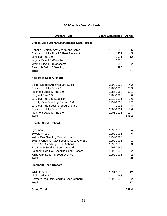## **SCFC Active Seed Orchards**

| <b>Orchard Type</b>                                | <b>Years Established</b> | <b>Acres</b>      |
|----------------------------------------------------|--------------------------|-------------------|
| <b>Creech Seed Orchard/Manchester State Forest</b> |                          |                   |
| <b>Genetic Diversity Archives (Clone Banks)</b>    | 1977-1983                | 25                |
| Coastal Loblolly Pine 1.0 Rust Resistant           | 1971                     | 5                 |
| Longleaf Pine 1.0                                  | 1971                     | $12 \overline{ }$ |
| Virginia Pine 1.0 (Creech)                         | 1980                     | 1.                |
| Virginia Pine 1.0 (Manchester)                     | 1986                     | $\overline{2}$    |
| Sawtooth Oak 1.0 Seedling                          | 1990                     | $\overline{c}$    |
| <b>Total</b>                                       |                          | 47                |
| <b>Niederhof Seed Orchard</b>                      |                          |                   |
| Cellfor Genetic Archives, 3rd Cycle                | 2008-2009                | 4.2               |
| Coastal Loblolly Pine 2.0                          | 1985-1988                | 68.3              |
| Piedmont Loblolly Pine 2.0                         | 1985-1988                | 63.1              |
| Longleaf Pine 1.5                                  | 1988-1990                | 30                |
| Longleaf Pine 1.5 Expansion                        | 2010-2011                | 1.6               |
| Loblolly Pine Breeding Orchard 3.0                 | 1997-2003                | 7.2               |
| Longleaf Pine Seedling Seed Orchard                | 1998                     | 8                 |
| Coastal Loblolly Pine 3.0                          | 2005-2011                | 17.6              |
| Piedmont Loblolly Pine 3.0                         | 2005-2011                | 12.4              |
| <b>Total</b>                                       |                          | 212.4             |
| <b>Coastal Seed Orchard</b>                        |                          |                   |
| Sycamore 2.0                                       | 1992-1995                | 4                 |
| Sweetgum 2.0                                       | 1992-1995                | 6                 |
| Willow Oak Seedling Seed Orchard                   | 1992-1995                | 1                 |
| Swamp Chestnut Oak Seedling Seed Orchard           | 1992-1995                | 1                 |
| Green Ash Seedling Seed Orchard                    | 1992-1995                | 3                 |
| Red Maple Seedling Seed Orchard                    | 1992-1995                | 1                 |
| Southern Red Oak Seedling Seed Orchard             | 1992-1995                | 2                 |
| White Oak Seedling Seed Orchard                    | 1992-1995                | $\overline{2}$    |
| <b>Total</b>                                       |                          | 20                |
| <b>Piedmont Seed Orchard</b>                       |                          |                   |
| White Pine 1.5                                     | 1991-1993                | 12                |
| Virginia Pine 1.0                                  | 1993                     | 3                 |
| Northern Red Oak Seedling Seed Orchard             | 1993-1995                | $\overline{2}$    |
| <b>Total</b>                                       |                          | 17                |
| <b>Grand Total</b>                                 |                          | 296.4             |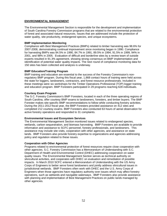## **ENVIRONMENTAL MANAGEMENT**

The Environmental Management Section is responsible for the development and implementation of South Carolina Forestry Commission programs that are related to the environmental protection of forest and associated natural resources. Issues that are addressed include the protection of water quality, site productivity, endangered species, and unique ecosystems.

#### **BMP Implementation Monitoring**

Compliance with Best Management Practices (BMPs) related to timber harvesting was 98.6% for 2007-2008, demonstrating continual improvement since monitoring began in 1990. Compliance for harvesting BMPs was 84.5% in 1990, 84.7% in 1991, 89.5% in 1994, 91.5% in 1999, 94% in 2001, and 98% in 2005. Evaluation of difficult and borderline sites by a review team of outside experts resulted in 91.3% agreement, showing strong consensus on BMP implementation and identification of potential water quality impacts. The next round of compliance monitoring data for 150 sites has been collected and analysis is underway.

## **BMP Education/Training Program**

BMP training and education are essential to the success of the Forestry Commission's nonregulatory BMP program. During this fiscal year, 1,868 contact hours of training were held across the state for loggers, landowners, contractors, and forest resource professionals. Included in these meetings were six workshops for the Timber Operations Professional (TOP) logger training and education program. BMP Foresters participated in 29 programs reaching 628 individuals.

## **Courtesy Exam Program**

The S.C. Forestry Commission's BMP Foresters, located in each of the three operating regions of South Carolina, offer courtesy BMP exams to landowners, foresters, and timber buyers. The BMP Forester makes site-specific BMP recommendations to follow while conducting forestry activities. During the 2011-2012 fiscal year, the BMP Foresters provided assistance on 412 sites and completed 212 courtesy exams. BMP Foresters also conducted 63 hours of aerial observation for active forestry operations and responded to 31 complaints.

#### **Environmental Issues and Ecosystem Services**

The Environmental Management Section monitored issues related to endangered species, wetlands, carbon sequestration, and biomass harvesting. BMP Foresters are available to provide information and assistance to SCFC personnel, forestry professionals, and landowners. This assistance may include site visits, cooperation with other agencies, and assistance on state lands. BMP Foresters also provide forestry expertise to organizations and agencies addressing policy and regulation related to these issues.

#### **Cooperation with Other Agencies**

Programs related to environmental protection of forest resources require close cooperation with other agencies. S.C. Forestry Commission has a Memorandum of Understanding with S.C. Department of Health and Environmental Control (DHEC) addressing cooperation on water quality issues. The Environmental Management Section serves as technical authority on silvicultural activities, and cooperates with DHEC on evaluation and remediation of possible impacts. In March 2010 SCFC entered a Memorandum of Understanding with the US Army Corps of Engineers to better serve forest landowners and jointly address silvicultural issues in jurisdictional wetlands. BMP Foresters often work with DHEC and the U.S. Army Corps of Engineers when those agencies have regulatory authority over issues which may affect forestry operations, such as wetlands and navigable waterways. BMP Foresters also provide assistance with planning and implementation of Best Management Practices on public lands managed by other agencies.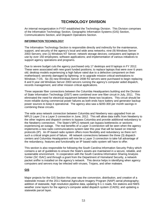## **TECHNOLOGY DIVISION**

An internal reorganization in FY07 established the Technology Division. This Division comprises of the Information Technology Section, Geographic Information Systems (GIS) Section, Communications Section, and Dispatch Operations Section.

## **INFORMATION TECHNOLOGY**

The Information Technology Section is responsible directly and indirectly for the maintenance, support, and security of the agency's local and wide area networks; nine (9) Windows Server 2003 Servers; one (1) Windows NT Server; network storage devices; computers and laptops in use by over 150 employees; software applications; and implementation of various initiatives to support agency operations and programs.

Due to severe budget cuts the agency purchased only 17 desktops and 8 laptops in FY 2012. These were associated with new grant funded positions; to replace laptops that were over 6 years old; desktop models experiencing a high failure rated due to a defective component on their motherboard; severely damaged by lightning; or to upgrade mission critical workstations to Windows 7 OS. Six (6) new Windows Server 2008 R2 servers were purchased to begin replacing 8 and 9 year old Windows Server 2003 servers running the agency's computer aided dispatch, records management, and other mission critical applications.

Three separate fiber connections between the Columbia Headquarters building and the Division of State Information Technology (DSIT) were combined over one fiber circuit in July, 2011. This eliminated the need for electrical equipment between these two locations. This circuit should be more reliable during commercial power failures as both ends have battery and generator backup power sources to keep it operational. The agency also saw a \$200-300 per month savings in combining these circuits.

The wide area network connection between Columbia and Newberry was upgraded from an MPLS Layer 2 to a Layer 3 connection in June, 2012. This will allow data traffic from Newberry to the other regions and dispatch centers to bypass Columbia and provide additional redundancy to the Newberry connection. The State's MPLS network can bypass bottlenecks or sections experiencing an outage. The real benefits of a Layer 3 connection will be seen when the agency implements a new radio communications system later this year that will be based on Internet protocols (IP). An IP-based radio system offers more flexibility and redundancy so there isn't such a critical single point of failure. All network connections between the three (3) dispatch centers and Columbia Headquarters will now be a Layer 3 connection to take full advantage of the redundancy, features and functionality an IP based radio system will have to offer.

This section is also responsible for following the South Carolina Information Security Policy which contains a set of guidelines to ensure the State's assets are maintained in a secure, reliable, and sustainable environment. In cooperation with the South Carolina Information Sharing Analysis Center (SC ISAC) and through a grant from the Department of Homeland Security, a network packet sniffer is installed on the agency's network. This device helps in identifying when agency computers and servers may be infected with viruses, Trojans, and other malware.

## **GIS**

Major projects for the GIS Section this year was the conversion, distribution, and creation of a statewide mosaic of the 2011 National Agriculture Imagery Program (NAIP) aerial photography; addition of statewide, high resolution pipeline data, updating 9-1-1 roads, fire stations and NWS weather zone layers for the agency's computer aided dispatch system (CADS); and updating a statewide parcel layer.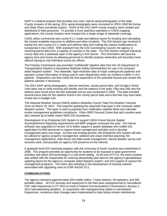NAIP is a federal program that provides true color, leaf-on aerial photography of the state. County mosaics of the spring, 2011 aerial photography were converted to JPEG 2000 file format and State Plane coordinate system. DVDs of the 2011 NAIP county mosaics were created and distributed to field personnel. To provide a more seamless operation in CADS mapping applications, the county mosaics were merged into a single image of statewide coverage.

CADS utilize commercial and county 9-1-1 roads and address layers for locating and calculating the closest available resources to wildfires and other incidents. The GIS Section was involved in testing the new county 9-1-1 roads and address data and making the various modifications to incorporate it into CADS. With assistant from the GIS Coordinating Council, the agency is receiving parcel data from a majority of counties in the state. The GIS Section merged individual county data into a statewide layer in the agency's GIS Server. This information will save the agency time and money by allowing personnel to identify property ownership and boundary lines without having to visit individual county tax offices.

The Forestry Commission was provided "confidential" pipeline data from the US Department of Transportation Pipeline & Hazardous Materials Safety Administration for use in its computer aided dispatch system. This statewide, high resolution data of major underground pipelines and operator contact information is being used to warn dispatchers when an incident is within  $\frac{1}{2}$  of a pipeline. Dispatchers can then notify the first responders of this potential hazard and contact the pipeline operator if necessary.

The 2011 NAIP aerial photography, Internet searches, county parcel data, and Google's Street View were use to verify existing and identify new fire stations in the state. Fifty-nine (59) new fire stations were found since the last statewide survey was conducted in 2009. This data included several future sites for fire stations found in the county parcel data and a few that may have been closed due to budget cuts.

The National Weather Service (NWS) added a Berkeley County Tidal Fire Weather Forecast Zone on March 19, 2012. This required updating the associate map layer in the computer aided dispatch system. This layer is used to populate burn notification weather fields and calculate smoke management guidelines compliance. Other NWS Forecast Zones that split counties were also cleaned up to better match NWS GIS boundaries.

Development of an Enterprise GIS System to support USDA Forest Service Spatial Accomplishment Reporting requirements and BMP program continued this year. GIS Server software was upgraded to version 10 to better support a spatial database and mobile GIS application for field personnel to capture forest management activities and to develop management plans and maps. As time and funding permits, this Enterprise GIS System will also be utilized for agency property management; wildland and urban interface planning; fire management applications; state forest and state lands management; natural disaster survey and recovery work; and possible an agency GIS presence on the Internet.

A graduate level GIS internship program with the University of South Carolina was established in 2006. This program provides an opportunity for students to be exposed to state government activities and utilize GIS technology in a real world setting. At the end of FY12, the intern position was refilled with the responsible for entering stewardship plan data for the agency's geodatabase; updating layers for the agency's computer aided dispatch system; and GIS support of various fire management programs. The intern also assisting in the development of training material associated with upgrading users to ESRI ArcGIS 10.1.

#### **COMMUNICATIONS**

The agency maintains approximately 555 mobile radios, 7 base stations, 28 repeaters, and 300 portable radios. All FCC licenses and equipment in the field were reprogrammed to narrowband VHF radio frequencies in FY 2012 to meet a Federal Communications Commission's January 1, 2013 narrowbanding deadline. In conjunction with reprogramming radios to narrowband frequencies, numerous other changes were implemented to help reduce known interference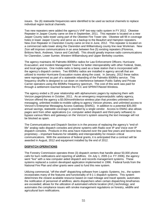issues. Six (6) statewide frequencies were identified to be used as tactical channels to replace individual region tactical channels.

Two new repeaters were added the agency's VHF two-way radio system in FY 2012. Okeetee Repeater in Jasper County came on line in September, 2011. This repeater is located on a new Jasper County radio tower using part of the Okeetee Fire Tower site. Okeetee will fill in coverage holes in lower Jasper County and serve as a backup to the Beaufort and Hampton repeaters. New Zion Repeater in Clarendon County came on line in June, 2012. This repeater is located on a commercial radio tower along the Clarendon and Williamsburg county line near Workman. New Zion will improve communications in an area between five (5) existing repeaters (Florence, Brittons Neck, Andrews, Vance and Catchall). This should greatly improve radio communications for Clarendon, Lower Sumter, Western Williamsburg and Upper Berkeley counties.

The agency maintains 46 Palmetto 800Mhz radios for Law Enforcement Officers; Hurricane Evacuation; and Incident Management Teams for better interoperability with other Federal, State, and local agencies. One mobile radio is being used as a base station that is incorporated with the agency's dispatch centers. Two 800Mhz radios are installed in agency aircraft that are utilized to monitor Hurricane Evacuation routes along the coast. In January, 2012 these radios were reprogrammed as part of a statewide rebanding of the Palmetto 800Mhz service. This frequency shuffle is designed to cut down on interference between Public Safety and Private Carrier operators using the 800Mhz frequency spectrum. The cost of this work was paid for through a settlement reached between the FCC and SPRINT/Nextel Wireless.

The agency ended a 20 year relationship with alphanumeric pagers by replacing them with Verizon pager/phones in October, 2011. As an emergency response/public safety agency, Verizon offered the agency a \$3.00/month/device wireless plan that provides unlimited text messaging, unlimited mobile-to-mobile calling to agency Verizon phones, and unlimited access to Verizon's Enterprise Messaging Access Gateway (EMAG). In addition to a potential \$35,000 annual savings, statewide coverage is provided by a single vendor. Access to EMAG also allows pages sent from other applications (i.e. computer aided dispatch and third-party software) to bypass various filters and gateways on the Verizon's system assuring the text message will not be blocked as spam.

The Communications and Dispatch Section is in the process of replacing the agency's "end-oflife" analog radio dispatch consoles and phone systems with Radio over IP and Voice over IP dispatch consoles. Products in this area have matured over the past few years and become less proprietary – important features for reliability and interoperability for mission critical communications. With the assistance of federal grants, it is anticipated that a contract will be awarded in August, 2012 and equipment installed by the end of 2012.

#### **DISPATCH OPERATIONS**

The Forestry Commission operates three (3) dispatch centers that handle about 50,000 phone calls for burn notifications and reporting of wildfires. On July 1, 2005 (i.e. FY 2006), the agency went "live" with a new computer aided dispatch and records management systems. These systems replaced a custom developed application implemented in 1996. Federal funds from the National Fire Plan and other grants were used to fund this new system.

Utilizing commercial, "off-the-shelf" dispatching software from Logistic Systems, Inc., the system incorporates many of the features and functionality of 9-1-1 dispatch systems. This system determines the closest available resource based on road mileage and travel speeds; automates the notification of personnel of wildfires; alerts dispatchers when certain dispatching timeframes are exceeded; allows for the utilization of automated vehicle location (AVL) technology; and automates the compliance issues with smoke management regulations on forestry, wildlife and agricultural burn notifications.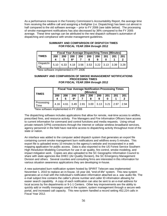As a performance measure in the Forestry Commission's Accountability Report, the average time from receiving the wildfire call and assigning a firefighter (i.e. Dispatching) has been cut almost in half compared to the old software average -- prior to FY 2006 (see table below). The processing of smoke management notifications has also decreased by 36% compared to the FY 2005 average. These time savings can be attributed to the new dispatch software's automation of dispatching and compliance with smoke management guidelines.

|                 |            |     |           | <b>Fiscal Year Average Dispatching Times (Minutes)</b> |     |     |     |     |     |
|-----------------|------------|-----|-----------|--------------------------------------------------------|-----|-----|-----|-----|-----|
| <b>TIMES</b>    | <b>200</b> | 200 | 200<br>6* | 200                                                    | 200 | 200 | 201 | 201 | 201 |
| Dispatchi<br>ng |            |     |           | 5.10 6.33 4.18 3.56 3.53 3.22 3.13 3.39 3.28           |     |     |     |     |     |

### **SUMMARY AND COMPARISON OF DISPATCH TIMES FOR FISCAL YEAR 2004 through 2012**

\*New software implemented in FY 2006

#### **SUMMARY AND COMPARISON OF SMOKE MANAGEMENT NOTIFICATIONS PROCESSING TIMES FOR FISCAL YEAR 2004 through 2012**

| <b>TIMES</b>          | <b>Fiscal Year Average Notification Processing Times</b><br>(Minutes) |          |           |      |          |                      |     |      |      |
|-----------------------|-----------------------------------------------------------------------|----------|-----------|------|----------|----------------------|-----|------|------|
|                       | 200<br>4                                                              | 200<br>5 | 200<br>6* | 200  | 200<br>8 | 200<br>9             | 201 | 201  | 201  |
| Processing<br>$T$ ime | 4.16                                                                  | 4.61     | 3.49      | 2.81 |          | $3.00$   3.13   3.21 |     | 2.97 | 2.94 |

\*New software implemented in FY 2006

The dispatching software includes applications that allow for remote, real-time access to wildfire, prescribed fires, and resource activity. Fire Managers and Fire Information Officers have access to current information for command and control functions and media requests. Using virtual private network (VPN) connections through the Internet or cellular wireless broadband services, agency personnel in the field have real-time access to dispatching activity throughout most of the state or nation.

An interface was added to the computer aided dispatch system that generates an export file containing current smoke management burn notifications and wildfires every 5 minutes. This export file is uploaded every 10 minutes to the agency's website and incorporated in a web mapping application for public access. Data is also exported to the US Forest Service Southern High Resolution Modeling Consortium for use in air quality, fire control, smoke modeling, and impact mitigation work. Copies are also uploaded to the SC Geographic Information Council to share with state agencies like DHEC (Air Quality Division), the SC Emergency Management Division and others. Several counties and consulting firms are interested in this information for various situation awareness applications they are developing in-house.

A new automated burn notification system hosted by SPIRIT Telecom was implemented November 1, 2010 to replace an in-house, 16 year old, "end-of-life" system. This new system generates an e-mail with the individual's notification information attached as a .wav audio file. The e-mail subject line contains the caller's phone number and caller ID information allowing for easier search capability. A copy of each notification can also be sent to an e-mail address for local access by fire departments or 9-1-1 Centers. Other key improvements are the ability to quickly add or modify messages used in the system, system management through a secure web portal, and increased call capacity. This new system handled a record setting 452,224 calls in Fiscal Year 2012.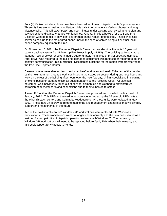Four (4) Verizon wireless phone lines have been added to each dispatch center's phone system. Three (3) lines are for making mobile-to-mobile calls to other agency Verizon phones and long distance calls. This will save "peak" and pool minutes under existing agency cell phone plan and savings on long distance charges with landlines. One (1) line is a backup for 9-1-1 and Fire Dispatch Centers to use if they can't get through on the regular phone lines. These lines also server as backup to the main wired phone lines in the case of cables being cut or other local phone company equipment failures.

On November 15, 2011, the Piedmont Dispatch Center had an electrical fire in its 16 year old battery backup system (i.e. Uninterruptible Power Supply – UPS). The building suffered smoke damage, loss of power for several hours but fortunately no injuries or major structure damage. After power was restored to the building, damaged equipment was replaced or repaired to get the center's communication links functional. Dispatching functions for the region were transferred to the Pee Dee Dispatch Center.

Cleaning crews were able to clean the dispatchers' work area and seal off the rest of the building by the next morning. Cleanup work continued in the sealed off section during business hours and work on the rest of the building after hours over the next few day. A firm specializing in cleaning smoke exposed or damage electrical equipment arrived the following week. All electrical equipment was individually taken out of service, dismantled and cleaned to prevent future corrosion of all metal parts and connections due to their exposure to smoke.

A new UPS unit for the Piedmont Dispatch Center was procured and installed the first week of January, 2012. This UPS unit served as a prototype for replacing the 16 year old UPS units at the other dispatch centers and Columbia Headquarters. All those units were replaced in May, 2012. These new units provide remote monitoring and management capabilities that will simplify support and maintenance in the future.

Ten of the 24 dispatch centers' Windows XP workstations were replaced with Windows 7 workstations. These workstations were no longer under warranty and the new ones served as a test bed for compatibility of dispatch operation software with Windows 7. The remaining 14 Windows XP workstations will need to be replaced before April, 2014 when their warranty and Microsoft support for Windows XP ends.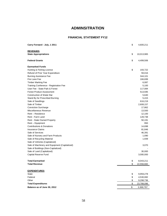# **ADMINSITRATION**

## **FINANCIAL STATEMENT FY12**

| Carry Forward - July, 1 2011                  | \$<br>4,600,211  |
|-----------------------------------------------|------------------|
| <b>REVENUES</b>                               |                  |
| <b>State Appropriations</b>                   | \$<br>10,013,965 |
| <b>Federal Grants</b>                         | \$<br>4,499,506  |
| <b>Earmarked Funds</b>                        |                  |
| Hunting & Fishing License                     | \$<br>193,722    |
| Refund of Prior Year Expenditure              | 59,016           |
| <b>Burning Assistance Fee</b>                 | 344,101          |
| Fire Lane Fee                                 | 166,699          |
| <b>Timber Marking Fee</b>                     | 6,087            |
| Training Conference - Registration Fee        | 5,100            |
| User Fee - State Park & Forest                | 117,084          |
| <b>Forest Product Assessment</b>              | 513,595          |
| Construction of Water Bar                     | 5,640            |
| Stand By for Prescribed Burning               | 5,415            |
| Sale of Seedlings                             | 616,219          |
| Sale of Timber                                | 2,608,157        |
| <b>Conviction Surcharge</b>                   | 17,862           |
| Miscellaneous Revenue                         | 13,500           |
| Rent - Residence                              | 12,100           |
| Rent - Farm Land                              | 128,738          |
| Rent - State Owned Property                   | 50,191           |
| Rent – Equipment                              | 950              |
| Contributions & Donations                     | 14,698           |
| <b>Insurance Claims</b>                       | 81,846           |
| Sale of Services                              | 46,391           |
| Sale of Nursery and Farm Products             | 1,090            |
| Sale of Recycling Material                    | 1,939            |
| Sale of Vehicles (Capitalized)                |                  |
| Sale of Machinery and Equipment (Capitalized) | 3,070            |
| Sale of Buildings (Non-Capitalized)           |                  |
| Sale of Land (Capitalized)                    | 30,000           |
| Capital Reserve Fund                          | 3,000,000        |
| <b>Total Earmarked</b>                        | \$<br>8,043,211  |
| <b>Total Revenue</b>                          | \$<br>22,556,682 |
| <b>EXPENDITURES</b>                           |                  |
| State                                         | \$<br>9,959,278  |
| Federal                                       | \$<br>4,530,082  |
| Other                                         | \$<br>9,298,736  |
| <b>Total Expenditures</b>                     | \$<br>23,788,096 |
| Balance as of June 30, 2012                   | \$<br>3,368,797  |